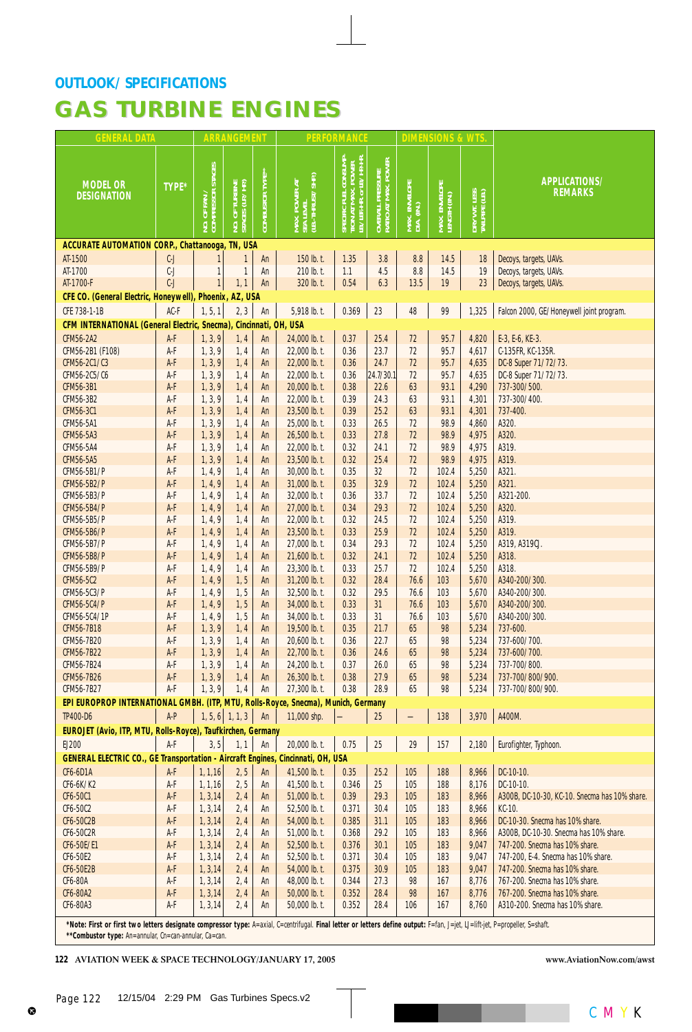## **GAS TURBINE ENGINES GAS TURBINE ENGINES**

| <b>GENERAL DATA</b>                                                               |              |                                   | <b>ARRANGEMENT</b>            |                  | <b>PERFORMANCE</b>                              |                                                                                              | <b>DIMENSIONS &amp; WTS</b>             |                             |                               |                                |                                               |
|-----------------------------------------------------------------------------------|--------------|-----------------------------------|-------------------------------|------------------|-------------------------------------------------|----------------------------------------------------------------------------------------------|-----------------------------------------|-----------------------------|-------------------------------|--------------------------------|-----------------------------------------------|
| <b>MODEL OR</b><br><b>DESIGNATION</b>                                             | <b>TYPE*</b> | NO. OF FAN /<br>COMPRESSOR STAGES | TURBINE<br>(LP./HP)<br>NO. OF | COMBUSTOR TYPE** | MAX. POWER AT<br>SEA LEVEL<br>(LB.-THRUST/SHP.) | SPECIFIC FUEL CONSUMP-<br>TION AT MAX. POWER<br>LB./LBF.-HR. or LB./HP.-HR.<br><b>SPECIE</b> | OVERALL PRESSURE<br>RATIO AT MAX. POWER | MAX. ENVELOPE<br>DIA. (IN.) | MAX. ENVELOPE<br>LENGTH (IN.) | DRY WT. LESS<br>Tailpipe (LB.) | <b>APPLICATIONS/</b><br><b>REMARKS</b>        |
| <b>ACCURATE AUTOMATION CORP., Chattanooga, TN, USA</b>                            |              |                                   |                               |                  |                                                 |                                                                                              |                                         |                             |                               |                                |                                               |
| AT-1500                                                                           | $C-J$        |                                   | $\mathbf{1}$                  | An               | 150 lb. t.                                      | 1.35                                                                                         | 3.8                                     | 8.8                         | 14.5                          | 18                             | Decoys, targets, UAVs.                        |
| AT-1700                                                                           | $C-J$        | 1                                 | $\mathbf{1}$                  | An               | 210 lb. t.                                      | 1.1                                                                                          | 4.5                                     | 8.8                         | 14.5                          | 19                             | Decoys, targets, UAVs.                        |
| AT-1700-F                                                                         | $C-J$        | $\mathbf{1}$                      | 1, 1                          | An               | 320 lb. t.                                      | 0.54                                                                                         | 6.3                                     | 13.5                        | 19                            | 23                             | Decoys, targets, UAVs.                        |
| CFE CO. (General Electric, Honeywell), Phoenix, AZ, USA                           |              |                                   |                               |                  |                                                 |                                                                                              |                                         |                             |                               |                                |                                               |
| CFE 738-1-1B                                                                      | AC-F         | 1, 5, 1                           | 2, 3                          | An               | 5,918 lb. t.                                    | 0.369                                                                                        | 23                                      | 48                          | 99                            | 1,325                          | Falcon 2000, GE/Honeywell joint program.      |
| CFM INTERNATIONAL (General Electric, Snecma), Cincinnati, OH, USA                 |              |                                   |                               |                  |                                                 |                                                                                              |                                         |                             |                               |                                |                                               |
| <b>CFM56-2A2</b>                                                                  | A-F          | 1, 3, 9                           | 1,4                           | An               | 24,000 lb. t.                                   | 0.37                                                                                         | 25.4                                    | 72                          | 95.7                          | 4,820                          | E-3, E-6, KE-3.                               |
| CFM56-2B1 (F108)                                                                  | A-F          | 1, 3, 9                           | 1, 4                          | An               | 22,000 lb. t.                                   | 0.36                                                                                         | 23.7                                    | 72                          | 95.7                          | 4,617                          | C-135FR, KC-135R.                             |
| CFM56-2C1/C3                                                                      | A-F          | 1, 3, 9                           | 1, 4                          | An               | 22,000 lb. t.                                   | 0.36                                                                                         | 24.7                                    | 72                          | 95.7                          | 4,635                          | DC-8 Super 71/72/73.                          |
| CFM56-2C5/C6                                                                      | A-F          | 1, 3, 9                           | 1, 4                          | An               | 22,000 lb. t.                                   | 0.36                                                                                         | 24.7/30.1                               | 72                          | 95.7                          | 4,635                          | DC-8 Super 71/72/73.                          |
| CFM56-3B1                                                                         | A F          | 1, 3, 9                           | 1, 4                          | An               | 20,000 lb. t.                                   | 0.38                                                                                         | 22.6                                    | 63                          | 93.1                          | 4,290                          | 737-300/500.                                  |
| CFM56-3B2                                                                         | A-F          | 1, 3, 9                           | 1, 4                          | An               | 22,000 lb. t.                                   | 0.39                                                                                         | 24.3                                    | 63                          | 93.1                          | 4,301                          | 737-300/400.                                  |
| CFM56-3C1                                                                         | A-F          | 1, 3, 9                           | 1, 4                          | An               | 23,500 lb. t.                                   | 0.39                                                                                         | 25.2                                    | 63                          | 93.1                          | 4,301                          | 737-400.                                      |
| <b>CFM56-5A1</b>                                                                  | A-F          | 1, 3, 9                           | 1, 4                          | An               | 25,000 lb. t.                                   | 0.33                                                                                         | 26.5                                    | 72                          | 98.9                          | 4,860                          | A320.                                         |
| CFM56-5A3                                                                         | A-F          | 1, 3, 9                           | 1, 4                          | An               | 26,500 lb. t.                                   | 0.33                                                                                         | 27.8                                    | 72                          | 98.9                          | 4,975                          | A320.                                         |
| CFM56-5A4                                                                         | A-F          | 1, 3, 9                           | 1, 4                          | An               | 22,000 lb. t.                                   | 0.32                                                                                         | 24.1                                    | 72                          | 98.9                          | 4,975                          | A319.                                         |
| CFM56-5A5                                                                         | A-F          | 1, 3, 9                           | 1, 4                          | An               | 23,500 lb. t.                                   | 0.32                                                                                         | 25.4                                    | 72                          | 98.9                          | 4,975                          | A319.                                         |
| CFM56-5B1/P                                                                       | A-F          | 1, 4, 9                           | 1, 4                          | An               | 30,000 lb. t.                                   | 0.35                                                                                         | 32                                      | 72                          | 102.4                         | 5,250                          | A321.                                         |
| CFM56-5B2/P                                                                       | A-F          | 1, 4, 9                           | 1, 4                          | An               | 31,000 lb. t.                                   | 0.35                                                                                         | 32.9                                    | 72                          | 102.4                         | 5,250                          | A321.                                         |
| CFM56-5B3/P                                                                       | A-F          | 1, 4, 9                           | 1, 4                          | An               | 32,000 lb. t                                    | 0.36                                                                                         | 33.7                                    | 72                          | 102.4                         | 5,250                          | A321-200.                                     |
| <b>CFM56-5B4/P</b>                                                                | A-F          | 1, 4, 9                           | 1, 4                          | An               | 27,000 lb. t.                                   | 0.34                                                                                         | 29.3                                    | 72                          | 102.4                         | 5,250                          | A320.                                         |
| CFM56-5B5/P                                                                       | A-F          | 1, 4, 9                           | 1, 4                          | An               | 22,000 lb. t.                                   | 0.32                                                                                         | 24.5                                    | 72                          | 102.4                         | 5,250                          | A319.                                         |
| <b>CFM56-5B6/P</b>                                                                | A-F          | 1, 4, 9                           | 1, 4                          | An               | 23,500 lb. t.                                   | 0.33                                                                                         | 25.9<br>29.3                            | 72<br>72                    | 102.4                         | 5,250                          | A319.                                         |
| CFM56-5B7/P<br><b>CFM56-5B8/P</b>                                                 | A-F<br>A-F   | 1, 4, 9<br>1, 4, 9                | 1, 4<br>1, 4                  | An<br>An         | 27,000 lb. t.<br>21,600 lb. t.                  | 0.34<br>0.32                                                                                 | 24.1                                    | 72                          | 102.4<br>102.4                | 5,250<br>5,250                 | A319, A319CJ.<br>A318.                        |
| CFM56-5B9/P                                                                       | A-F          | 1, 4, 9                           | 1, 4                          | An               | 23,300 lb. t.                                   | 0.33                                                                                         | 25.7                                    | 72                          | 102.4                         | 5,250                          | A318.                                         |
| CFM56-5C2                                                                         | A-F          | 1, 4, 9                           | 1, 5                          | An               | 31,200 lb. t.                                   | 0.32                                                                                         | 28.4                                    | 76.6                        | 103                           | 5,670                          | A340-200/300.                                 |
| CFM56-5C3/P                                                                       | A-F          | 1, 4, 9                           | 1, 5                          | An               | 32,500 lb. t.                                   | 0.32                                                                                         | 29.5                                    | 76.6                        | 103                           | 5,670                          | A340-200/300.                                 |
| <b>CFM56-5C4/P</b>                                                                | A-F          | 1, 4, 9                           | 1, 5                          | An               | 34,000 lb. t.                                   | 0.33                                                                                         | 31                                      | 76.6                        | 103                           | 5,670                          | A340-200/300.                                 |
| CFM56-5C4/1P                                                                      | A-F          | 1, 4, 9                           | 1, 5                          | An               | 34,000 lb. t.                                   | 0.33                                                                                         | 31                                      | 76.6                        | 103                           | 5,670                          | A340-200/300.                                 |
| <b>CFM56-7B18</b>                                                                 | A F          | 1, 3, 9                           | 1, 4                          | An               | 19,500 lb. t.                                   | 0.35                                                                                         | 21.7                                    | 65                          | 98                            | 5,234                          | 737-600.                                      |
| CFM56-7B20                                                                        | A-F          | 1, 3, 9                           | 1, 4                          | An               | 20,600 lb. t.                                   | 0.36                                                                                         | 22.7                                    | 65                          | 98                            | 5,234                          | 737-600/700.                                  |
| <b>CFM56-7B22</b>                                                                 | A-F          | 1, 3, 9                           | 1, 4                          | An               | 22,700 lb. t.                                   | 0.36                                                                                         | 24.6                                    | 65                          | 98                            | 5,234                          | 737-600/700.                                  |
| CFM56-7B24                                                                        | A-F          | 1, 3, 9                           | 1, 4                          | An               | 24,200 lb. t.                                   | 0.37                                                                                         | 26.0                                    | 65                          | 98                            | 5,234                          | 737-700/800.                                  |
| <b>CFM56-7B26</b>                                                                 | A-F          | 1, 3, 9                           | 1, 4                          | An               | 26,300 lb. t.                                   | 0.38                                                                                         | 27.9                                    | 65                          | 98                            | 5,234                          | 737-700/800/900.                              |
| CFM56-7B27                                                                        | A-F          | 1, 3, 9                           | 1, 4                          | An               | 27,300 lb. t.                                   | 0.38                                                                                         | 28.9                                    | 65                          | 98                            | 5,234                          | 737-700/800/900.                              |
| EPI EUROPROP INTERNATIONAL GMBH. (ITP, MTU, Rolls-Royce, Snecma), Munich, Germany |              |                                   |                               |                  |                                                 |                                                                                              |                                         |                             |                               |                                |                                               |
| <b>TP400-D6</b>                                                                   | A-P          |                                   | $1, 5, 6$ 1, 1, 3             | An               | 11,000 shp.                                     |                                                                                              | 25                                      |                             | 138                           | 3,970                          | A400M.                                        |
| EUROJET (Avio, ITP, MTU, Rolls-Royce), Taufkirchen, Germany                       |              |                                   |                               |                  |                                                 |                                                                                              |                                         |                             |                               |                                |                                               |
| EJ200                                                                             | A-F          | 3, 5                              | 1, 1                          | An               | 20,000 lb. t.                                   | 0.75                                                                                         | 25                                      | 29                          | 157                           | 2,180                          | Eurofighter, Typhoon.                         |
| <b>GENERAL ELECTRIC CO., GE Transportation - Aircraft Engines,</b>                |              |                                   |                               |                  | Cincinnati, OH, USA                             |                                                                                              |                                         |                             |                               |                                |                                               |
| <b>CF6-6D1A</b>                                                                   | A-F          | 1, 1, 16                          | 2, 5                          | An               | 41,500 lb. t.                                   | 0.35                                                                                         | 25.2                                    | 105                         | 188                           | 8,966                          | DC-10-10.                                     |
| CF6-6K/K2                                                                         | A-F          | 1, 1, 16                          | 2, 5                          | An               | 41,500 lb. t.                                   | 0.346                                                                                        | 25                                      | 105                         | 188                           | 8,176                          | DC-10-10.                                     |
| CF6-50C1                                                                          | A F          | 1, 3, 14                          | 2, 4                          | An               | 51,000 lb. t.                                   | 0.39                                                                                         | 29.3                                    | 105                         | 183                           | 8,966                          | A300B, DC-10-30, KC-10. Snecma has 10% share. |
| CF6-50C2                                                                          | A-F          | 1, 3, 14                          | 2, 4                          | An               | 52,500 lb. t.                                   | 0.371                                                                                        | 30.4                                    | 105                         | 183                           | 8,966                          | KC-10.                                        |
| CF6-50C2B                                                                         | A-F          | 1, 3, 14                          | 2, 4                          | An               | 54,000 lb. t.                                   | 0.385                                                                                        | 31.1                                    | 105                         | 183                           | 8,966                          | DC-10-30. Snecma has 10% share.               |
| CF6-50C2R                                                                         | A-F          | 1, 3, 14                          | 2, 4                          | An               | 51,000 lb. t.                                   | 0.368                                                                                        | 29.2                                    | 105                         | 183                           | 8,966                          | A300B, DC-10-30. Snecma has 10% share.        |
| CF6-50E/E1                                                                        | A-F          | 1, 3, 14                          | 2,4                           | An               | 52,500 lb. t.                                   | 0.376                                                                                        | 30.1                                    | 105                         | 183                           | 9,047                          | 747-200. Snecma has 10% share.                |
| CF6-50E2                                                                          | A-F          | 1, 3, 14                          | 2, 4                          | An               | 52,500 lb. t.                                   | 0.371                                                                                        | 30.4                                    | 105                         | 183                           | 9,047                          | 747-200, E-4. Snecma has 10% share.           |
| <b>CF6-50E2B</b>                                                                  | A-F          | 1, 3, 14                          | 2, 4                          | An               | 54,000 lb. t.                                   | 0.375                                                                                        | 30.9                                    | 105                         | 183                           | 9,047                          | 747-200. Snecma has 10% share.                |
| CF6-80A                                                                           | A-F          | 1, 3, 14                          | 2, 4                          | An               | 48,000 lb. t.                                   | 0.344                                                                                        | 27.3                                    | 98                          | 167                           | 8,776                          | 767-200. Snecma has 10% share.                |
| CF6-80A2                                                                          | A-F          | 1, 3, 14                          | 2, 4                          | An               | 50,000 lb. t.                                   | 0.352                                                                                        | 28.4                                    | 98                          | 167                           | 8,776                          | 767-200. Snecma has 10% share.                |
| CF6-80A3                                                                          | A-F          | 1, 3, 14                          | 2, 4                          | An               | 50,000 lb. t.                                   | 0.352                                                                                        | 28.4                                    | 106                         | 167                           | 8,760                          | A310-200. Snecma has 10% share.               |
|                                                                                   |              |                                   |                               |                  |                                                 |                                                                                              |                                         |                             |                               |                                |                                               |

*\*Note: First or first two letters designate compressor type: A=axial, C=centrifugal. Final letter or letters define output: F=fan, J=jet, LJ=lift-jet, P=propeller, S=shaft. \*\*Combustor type: An=annular, Cn=can-annular, Ca=can.*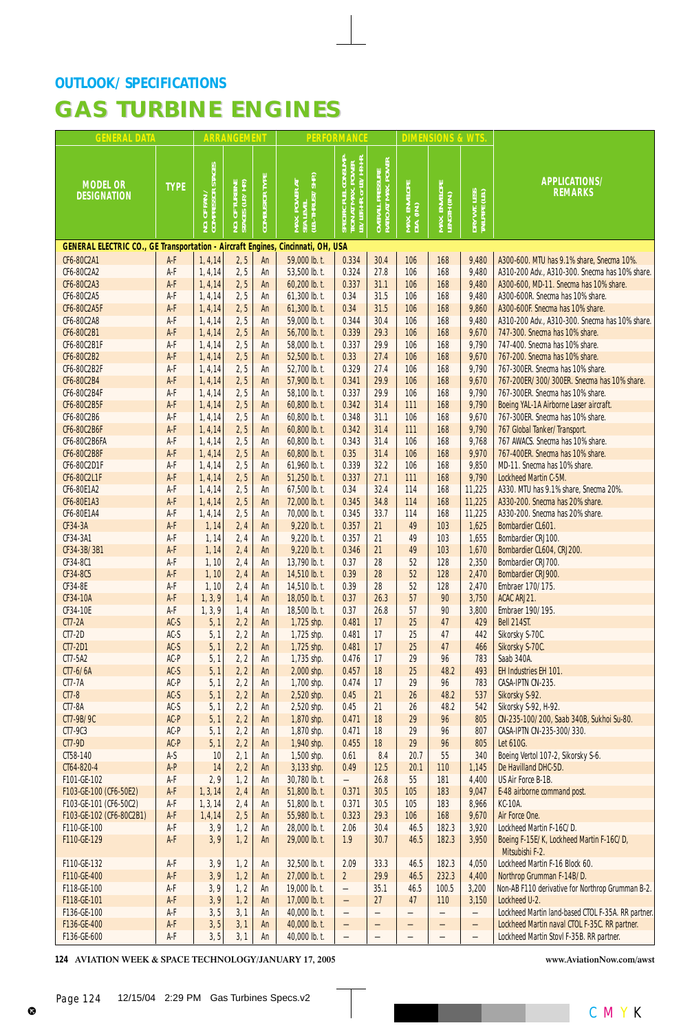| <b>GENERAL DATA</b>                                                             |                                       |                                   | <b>ARRANGEMENT</b>            |                       |                                                | <b>PERFORMANCE</b>                                                                 |                                                         |                             | <b>DIMENSIONS &amp; WTS</b>   |                                |                                                                            |
|---------------------------------------------------------------------------------|---------------------------------------|-----------------------------------|-------------------------------|-----------------------|------------------------------------------------|------------------------------------------------------------------------------------|---------------------------------------------------------|-----------------------------|-------------------------------|--------------------------------|----------------------------------------------------------------------------|
| <b>MODEL OR</b><br><b>DESIGNATION</b>                                           | <b>TYPE</b>                           | NO. OF FAN /<br>COMPRESSOR STAGES | TURBINE<br>(LP./HP)<br>NO. OF | <b>COMBUSTOR TYPE</b> | MAX. POWER AT<br>SEA LEVEL<br>(LB.-THRUST/SHP) | : FUEL CONSUMP-<br>F MAX. POWER<br>HR. or LB./HP-HR.<br>B./JBF.-I<br><b>SPECIE</b> | . PRESSURE<br>[ MAX. POWER ]<br>OVERALL I<br>RATIO AT I | MAX. ENVELOPE<br>DIA. (IN.) | MAX. ENVELOPE<br>LENGTH (IN.) | DRY WT. LESS<br>Tailpipe (LB.) | APPLICATIONS/<br><b>REMARKS</b>                                            |
| GENERAL ELECTRIC CO., GE Transportation - Aircraft Engines, Cincinnati, OH, USA |                                       |                                   |                               |                       |                                                |                                                                                    |                                                         |                             |                               |                                |                                                                            |
| CF6-80C2A1                                                                      | A-F                                   | 1, 4, 14                          | 2, 5                          | An                    | 59,000 lb. t.                                  | 0.334                                                                              | 30.4                                                    | 106                         | 168                           | 9,480                          | A300-600. MTU has 9.1% share, Snecma 10%.                                  |
| CF6-80C2A2                                                                      | A-F                                   | 1, 4, 14                          | 2, 5                          | An                    | 53,500 lb. t.                                  | 0.324                                                                              | 27.8                                                    | 106                         | 168                           | 9,480                          | A310-200 Adv., A310-300. Snecma has 10% share.                             |
| CF6-80C2A3<br>CF6-80C2A5                                                        | A-F<br>A-F                            | 1, 4, 14<br>1, 4, 14              | 2, 5<br>2, 5                  | An<br>An              | 60,200 lb. t.<br>61,300 lb. t.                 | 0.337<br>0.34                                                                      | 31.1<br>31.5                                            | 106<br>106                  | 168<br>168                    | 9,480<br>9,480                 | A300-600, MD-11. Snecma has 10% share.<br>A300-600R. Snecma has 10% share. |
| CF6-80C2A5F                                                                     | $A-F$                                 | 1, 4, 14                          | 2, 5                          | An                    | 61,300 lb. t.                                  | 0.34                                                                               | 31.5                                                    | 106                         | 168                           | 9,860                          | A300-600F. Snecma has 10% share.                                           |
| CF6-80C2A8                                                                      | A-F                                   | 1, 4, 14                          | 2, 5                          | An                    | 59,000 lb. t.                                  | 0.344                                                                              | 30.4                                                    | 106                         | 168                           | 9,480                          | A310-200 Adv., A310-300. Snecma has 10% share.                             |
| CF6-80C2B1                                                                      | A-F                                   | 1, 4, 14                          | 2, 5                          | An                    | 56,700 lb. t.                                  | 0.339                                                                              | 29.3                                                    | 106                         | 168                           | 9,670                          | 747-300. Snecma has 10% share.                                             |
| CF6-80C2B1F                                                                     | A-F                                   | 1, 4, 14                          | 2, 5                          | An                    | 58,000 lb. t.                                  | 0.337                                                                              | 29.9                                                    | 106                         | 168                           | 9,790                          | 747-400. Snecma has 10% share.                                             |
| CF6-80C2B2                                                                      | A-F                                   | 1, 4, 14                          | 2, 5                          | An                    | 52,500 lb. t.                                  | 0.33                                                                               | 27.4                                                    | 106                         | 168                           | 9,670                          | 767-200. Snecma has 10% share.                                             |
| CF6-80C2B2F                                                                     | A-F                                   | 1, 4, 14                          | 2, 5                          | An                    | 52,700 lb. t.                                  | 0.329                                                                              | 27.4                                                    | 106                         | 168                           | 9,790                          | 767-300ER. Snecma has 10% share.                                           |
| CF6-80C2B4                                                                      | A-F                                   | 1, 4, 14                          | 2, 5                          | An                    | 57,900 lb. t.                                  | 0.341                                                                              | 29.9                                                    | 106                         | 168                           | 9,670                          | 767-200ER/300/300ER. Snecma has 10% share.                                 |
| CF6-80C2B4F<br>CF6-80C2B5F                                                      | A-F<br>A-F                            | 1, 4, 14<br>1, 4, 14              | 2, 5<br>2, 5                  | An<br>An              | 58,100 lb. t.<br>60,800 lb. t.                 | 0.337<br>0.342                                                                     | 29.9<br>31.4                                            | 106<br>111                  | 168<br>168                    | 9,790<br>9,790                 | 767-300ER. Snecma has 10% share.<br>Boeing YAL-1A Airborne Laser aircraft. |
| CF6-80C2B6                                                                      | A-F                                   | 1, 4, 14                          | 2, 5                          | An                    | 60,800 lb. t.                                  | 0.348                                                                              | 31.1                                                    | 106                         | 168                           | 9,670                          | 767-300ER. Snecma has 10% share.                                           |
| CF6-80C2B6F                                                                     | A-F                                   | 1, 4, 14                          | 2, 5                          | An                    | 60,800 lb. t.                                  | 0.342                                                                              | 31.4                                                    | 111                         | 168                           | 9,790                          | 767 Global Tanker/Transport.                                               |
| CF6-80C2B6FA                                                                    | A-F                                   | 1, 4, 14                          | 2, 5                          | An                    | 60,800 lb. t.                                  | 0.343                                                                              | 31.4                                                    | 106                         | 168                           | 9,768                          | 767 AWACS. Snecma has 10% share.                                           |
| <b>CF6-80C2B8F</b>                                                              | A-F                                   | 1, 4, 14                          | 2, 5                          | An                    | 60,800 lb. t.                                  | 0.35                                                                               | 31.4                                                    | 106                         | 168                           | 9,970                          | 767-400ER. Snecma has 10% share.                                           |
| CF6-80C2D1F                                                                     | A-F                                   | 1, 4, 14                          | 2, 5                          | An                    | 61,960 lb. t.                                  | 0.339                                                                              | 32.2                                                    | 106                         | 168                           | 9,850                          | MD-11. Snecma has 10% share.                                               |
| CF6-80C2L1F                                                                     | A-F                                   | 1, 4, 14                          | 2, 5                          | An                    | 51,250 lb. t.                                  | 0.337                                                                              | 27.1                                                    | 111                         | 168                           | 9,790                          | Lockheed Martin C-5M.                                                      |
| CF6-80E1A2                                                                      | A-F                                   | 1, 4, 14                          | 2, 5                          | An                    | 67,500 lb. t.                                  | 0.34                                                                               | 32.4                                                    | 114                         | 168                           | 11,225                         | A330. MTU has 9.1% share, Snecma 20%.                                      |
| CF6-80E1A3<br>CF6-80E1A4                                                        | $A-F$<br>A-F                          | 1, 4, 14<br>1, 4, 14              | 2, 5<br>2, 5                  | An<br>An              | 72,000 lb. t.<br>70,000 lb. t.                 | 0.345<br>0.345                                                                     | 34.8<br>33.7                                            | 114<br>114                  | 168<br>168                    | 11,225<br>11,225               | A330-200. Snecma has 20% share.<br>A330-200. Snecma has 20% share.         |
| CF34-3A                                                                         | A-F                                   | 1, 14                             | 2,4                           | An                    | 9,220 lb. t.                                   | 0.357                                                                              | 21                                                      | 49                          | 103                           | 1,625                          | Bombardier CL601.                                                          |
| CF34-3A1                                                                        | A-F                                   | 1, 14                             | 2, 4                          | An                    | 9,220 lb. t.                                   | 0.357                                                                              | 21                                                      | 49                          | 103                           | 1,655                          | Bombardier CRJ100.                                                         |
| CF34-3B/3B1                                                                     | A-F                                   | 1, 14                             | 2,4                           | An                    | 9,220 lb. t.                                   | 0.346                                                                              | 21                                                      | 49                          | 103                           | 1,670                          | Bombardier CL604, CRJ200.                                                  |
| CF34-8C1                                                                        | A-F                                   | 1, 10                             | 2,4                           | An                    | 13,790 lb. t.                                  | 0.37                                                                               | 28                                                      | 52                          | 128                           | 2,350                          | Bombardier CRJ700.                                                         |
| CF34-8C5                                                                        | A-F                                   | 1, 10                             | 2, 4                          | An                    | 14,510 lb. t.                                  | 0.39                                                                               | 28                                                      | 52                          | 128                           | 2,470                          | Bombardier CRJ900.                                                         |
| CF34-8E                                                                         | A-F                                   | 1, 10                             | 2, 4                          | An                    | 14,510 lb. t.                                  | 0.39                                                                               | 28                                                      | 52                          | 128                           | 2,470                          | Embraer 170/175.                                                           |
| CF34-10A                                                                        | A-F                                   | 1, 3, 9                           | 1,4                           | An                    | 18,050 lb. t.                                  | 0.37<br>0.37                                                                       | 26.3<br>26.8                                            | 57<br>57                    | 90<br>90                      | 3,750                          | ACAC ARJ21.                                                                |
| CF34-10E<br>CT7-2A                                                              | A-F<br>$AC-S$                         | 1, 3, 9<br>5, 1                   | 1,4<br>2, 2                   | An<br>An              | 18,500 lb. t.<br>1,725 shp.                    | 0.481                                                                              | 17                                                      | 25                          | 47                            | 3,800<br>429                   | Embraer 190/195.<br>Bell 214ST.                                            |
| CT7-2D                                                                          | $AC-S$                                | 5, 1                              | 2, 2                          | An                    | 1,725 shp.                                     | 0.481                                                                              | 17                                                      | 25                          | 47                            | 442                            | Sikorsky S-70C.                                                            |
| CT7-2D1                                                                         | $AC-S$                                | 5, 1                              | 2, 2                          | An                    | 1,725 shp.                                     | 0.481                                                                              | 17                                                      | 25                          | 47                            | 466                            | Sikorsky S-70C.                                                            |
| CT7-5A2                                                                         | AC-P                                  | 5, 1                              | 2, 2                          | An                    | 1,735 shp.                                     | 0.476                                                                              | 17                                                      | 29                          | 96                            | 783                            | Saab 340A.                                                                 |
| CT7-6/6A                                                                        | $AC-S$                                | 5, 1                              | 2, 2                          | An                    | 2,000 shp.                                     | 0.457                                                                              | 18                                                      | 25                          | 48.2                          | 493                            | EH Industries EH 101.                                                      |
| CT7-7A                                                                          | AC-P                                  | 5, 1                              | 2, 2                          | An                    | 1,700 shp.                                     | 0.474                                                                              | 17                                                      | 29                          | 96                            | 783                            | CASA-IPTN CN-235.                                                          |
| $CT7-8$                                                                         | $AC-S$                                | 5, 1                              | 2, 2                          | An                    | 2,520 shp.                                     | 0.45                                                                               | 21                                                      | 26                          | 48.2                          | 537                            | Sikorsky S-92.                                                             |
| CT7-8A<br>CT7-9B/9C                                                             | $AC-S$<br>$AC-P$                      | 5, 1<br>5, 1                      | 2, 2<br>2, 2                  | An<br>An              | 2,520 shp.<br>1,870 shp.                       | 0.45<br>0.471                                                                      | 21<br>18                                                | 26<br>29                    | 48.2<br>96                    | 542<br>805                     | Sikorsky S-92, H-92.<br>CN-235-100/200, Saab 340B, Sukhoi Su-80.           |
| CT7-9C3                                                                         | AC-P                                  | 5, 1                              | 2, 2                          | An                    | 1,870 shp.                                     | 0.471                                                                              | 18                                                      | 29                          | 96                            | 807                            | CASA-IPTN CN-235-300/330.                                                  |
| CT7-9D                                                                          | AC-P                                  | 5, 1                              | 2, 2                          | An                    | 1,940 shp.                                     | 0.455                                                                              | 18                                                      | 29                          | 96                            | 805                            | Let 610G.                                                                  |
| CT58-140                                                                        | $A-S$                                 | 10                                | 2, 1                          | An                    | 1,500 shp.                                     | 0.61                                                                               | 8.4                                                     | 20.7                        | 55                            | 340                            | Boeing Vertol 107-2, Sikorsky S-6.                                         |
| CT64-820-4                                                                      | A-P                                   | 14                                | 2, 2                          | An                    | 3,133 shp.                                     | 0.49                                                                               | 12.5                                                    | 20.1                        | 110                           | 1,145                          | De Havilland DHC-5D.                                                       |
| F101-GE-102                                                                     | A-F                                   | 2, 9                              | 1, 2                          | An                    | 30,780 lb. t.                                  | $\overline{\phantom{0}}$                                                           | 26.8                                                    | 55                          | 181                           | 4,400                          | US Air Force B-1B.                                                         |
| F103-GE-100 (CF6-50E2)                                                          | $\mathsf{A}\text{-}\mathsf{F}$        | 1, 3, 14                          | 2,4                           | An                    | 51,800 lb. t.                                  | 0.371                                                                              | 30.5                                                    | 105                         | 183                           | 9,047                          | E-48 airborne command post.                                                |
| F103-GE-101 (CF6-50C2)<br>F103-GE-102 (CF6-80C2B1)                              | A-F<br>$\mathsf{A}\text{-}\mathsf{F}$ | 1, 3, 14                          | 2, 4                          | An<br>An              | 51,800 lb. t.<br>55,980 lb. t.                 | 0.371<br>0.323                                                                     | 30.5<br>29.3                                            | 105<br>106                  | 183<br>168                    | 8,966<br>9,670                 | <b>KC-10A.</b><br>Air Force One.                                           |
| F110-GE-100                                                                     | A-F                                   | 1,4,14<br>3,9                     | 2, 5<br>1, 2                  | An                    | 28,000 lb. t.                                  | 2.06                                                                               | 30.4                                                    | 46.5                        | 182.3                         | 3,920                          | Lockheed Martin F-16C/D.                                                   |
| F110-GE-129                                                                     | $A-F$                                 | 3,9                               | 1, 2                          | An                    | 29,000 lb. t.                                  | 1.9                                                                                | 30.7                                                    | 46.5                        | 182.3                         | 3,950                          | Boeing F-15E/K, Lockheed Martin F-16C/D,<br>Mitsubishi F-2.                |
| F110-GE-132                                                                     | A-F                                   | 3,9                               | 1, 2                          | An                    | 32,500 lb. t.                                  | 2.09                                                                               | 33.3                                                    | 46.5                        | 182.3                         | 4,050                          | Lockheed Martin F-16 Block 60.                                             |
| F110-GE-400                                                                     | $A-F$                                 | 3,9                               | 1, 2                          | An                    | 27,000 lb. t.                                  | $\overline{2}$                                                                     | 29.9                                                    | 46.5                        | 232.3                         | 4,400                          | Northrop Grumman F-14B/D.                                                  |
| F118-GE-100                                                                     | $A-F$                                 | 3,9                               | 1, 2                          | An                    | 19,000 lb. t.                                  | $\overline{\phantom{0}}$                                                           | 35.1                                                    | 46.5                        | 100.5                         | 3,200                          | Non-AB F110 derivative for Northrop Grumman B-2.                           |
| F118-GE-101                                                                     | A-F                                   | 3,9                               | 1, 2                          | An                    | 17,000 lb. t.                                  | —                                                                                  | 27                                                      | 47                          | 110                           | 3,150                          | Lockheed U-2.                                                              |
| F136-GE-100                                                                     | A-F                                   | 3, 5                              | 3, 1                          | An                    | 40,000 lb. t.                                  | —                                                                                  | —                                                       | —                           | —                             | $\qquad \qquad -$              | Lockheed Martin land-based CTOL F-35A. RR partner.                         |
| F136-GE-400                                                                     | $A-F$                                 | 3, 5                              | 3, 1                          | An                    | 40,000 lb. t.                                  | —                                                                                  | —                                                       | —                           | —                             | —                              | Lockheed Martin naval CTOL F-35C. RR partner.                              |
| F136-GE-600                                                                     | A-F                                   | 3, 5                              | 3, 1                          | An                    | 40,000 lb. t.                                  | $\qquad \qquad -$                                                                  | $\qquad \qquad -$                                       | —                           | $\overline{\phantom{0}}$      | $\overline{\phantom{0}}$       | Lockheed Martin Stovl F-35B. RR partner.                                   |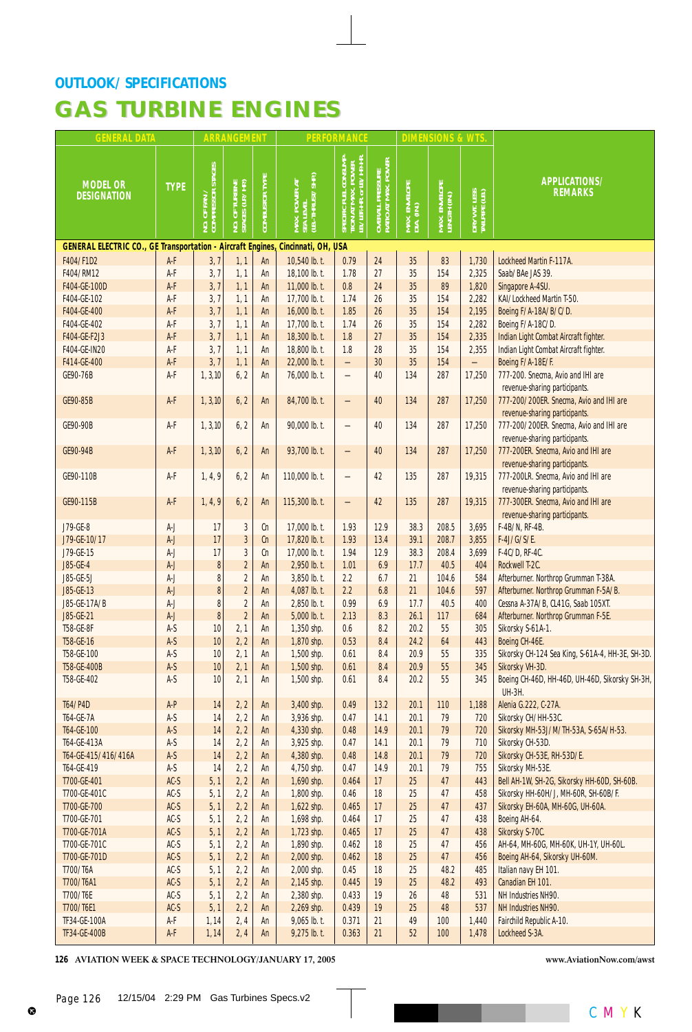| <b>GENERAL DATA</b>                                                             |                  |                                   | <b>ARRANGEMENT</b>                              |                       |                                                 | <b>PERFORMANCE</b>                                                                      |                                                         |                             | <b>DIMENSIONS &amp; WTS</b>   |                                |                                                                      |
|---------------------------------------------------------------------------------|------------------|-----------------------------------|-------------------------------------------------|-----------------------|-------------------------------------------------|-----------------------------------------------------------------------------------------|---------------------------------------------------------|-----------------------------|-------------------------------|--------------------------------|----------------------------------------------------------------------|
| <b>MODEL OR</b><br><b>DESIGNATION</b>                                           | <b>TYPE</b>      | NO. OF FAN /<br>COMPRESSOR STAGES | TURBINE<br>JAPA (LP)<br><b>NO. OF</b><br>STAGES | <b>COMBUSTOR TYPE</b> | MAX. POWER AT<br>SEA LEVEL<br>(LB.-THRUST/SHP.) | SPECIFIC FUEL CONSUMP-<br>TION AT MAX. POWER<br>LB./LBF.-HR. or LB./HP.-HR.<br>SPECIFIC | . Pressure<br>" Max. Power  <br>OVERALL I<br>RATIO AT I | MAX. ENVELOPE<br>DIA. (IN.) | MAX. ENVELOPE<br>LENGTH (IN.) | DRY WT. LESS<br>TAILPIPE (LB.) | APPLICATIONS/<br><b>REMARKS</b>                                      |
| GENERAL ELECTRIC CO., GE Transportation - Aircraft Engines, Cincinnati, OH, USA |                  |                                   |                                                 |                       |                                                 |                                                                                         |                                                         |                             |                               |                                |                                                                      |
| F404/F1D2                                                                       | A-F              | 3,7                               | 1, 1                                            | An                    | 10,540 lb. t.                                   | 0.79                                                                                    | 24                                                      | 35                          | 83                            | 1,730                          | Lockheed Martin F-117A.                                              |
| F404/RM12                                                                       | A-F              | 3,7                               | 1, 1                                            | An                    | 18,100 lb. t.                                   | 1.78                                                                                    | 27                                                      | 35                          | 154                           | 2,325                          | Saab/BAe JAS 39.                                                     |
| F404-GE-100D                                                                    | $A-F$            | 3,7                               | 1, 1                                            | An                    | 11,000 lb. t.                                   | 0.8                                                                                     | 24                                                      | 35                          | 89                            | 1,820                          | Singapore A-4SU.                                                     |
| F404-GE-102                                                                     | A-F              | 3,7                               | 1, 1                                            | An                    | 17,700 lb. t.                                   | 1.74                                                                                    | 26<br>26                                                | 35                          | 154                           | 2,282                          | KAI/Lockheed Martin T-50.                                            |
| F404-GE-400<br>F404-GE-402                                                      | A-F<br>A-F       | 3, 7<br>3,7                       | 1, 1<br>1, 1                                    | An<br>An              | 16,000 lb. t.<br>17,700 lb. t.                  | 1.85<br>1.74                                                                            | 26                                                      | 35<br>35                    | 154<br>154                    | 2,195<br>2,282                 | Boeing F/A-18A/B/C/D.<br>Boeing F/A-18C/D.                           |
| F404-GE-F2J3                                                                    | A-F              | 3,7                               | 1, 1                                            | An                    | 18,300 lb. t.                                   | 1.8                                                                                     | 27                                                      | 35                          | 154                           | 2,335                          | Indian Light Combat Aircraft fighter.                                |
| F404-GE-IN20                                                                    | A-F              | 3,7                               | 1, 1                                            | An                    | 18,800 lb. t.                                   | 1.8                                                                                     | 28                                                      | 35                          | 154                           | 2,355                          | Indian Light Combat Aircraft fighter.                                |
| F414-GE-400                                                                     | A-F              | 3,7                               | 1, 1                                            | An                    | 22,000 lb. t.                                   | $\qquad \qquad -$                                                                       | 30                                                      | 35                          | 154                           | $\overline{\phantom{0}}$       | Boeing F/A-18E/F.                                                    |
| GE90-76B                                                                        | A-F              | 1, 3, 10                          | 6, 2                                            | An                    | 76,000 lb. t.                                   | $\overline{\phantom{0}}$                                                                | 40                                                      | 134                         | 287                           | 17,250                         | 777-200. Snecma, Avio and IHI are                                    |
|                                                                                 |                  |                                   |                                                 |                       |                                                 |                                                                                         |                                                         |                             |                               |                                | revenue-sharing participants.                                        |
| GE90-85B                                                                        | A-F              | 1, 3, 10                          | 6, 2                                            | An                    | 84,700 lb. t.                                   | —                                                                                       | 40                                                      | 134                         | 287                           | 17,250                         | 777-200/200ER. Snecma, Avio and IHI are                              |
|                                                                                 |                  |                                   |                                                 |                       |                                                 |                                                                                         |                                                         |                             |                               |                                | revenue-sharing participants.                                        |
| GE90-90B                                                                        | A-F              | 1, 3, 10                          | 6, 2                                            | An                    | 90,000 lb. t.                                   | $\overline{\phantom{0}}$                                                                | 40                                                      | 134                         | 287                           | 17,250                         | 777-200/200ER. Snecma, Avio and IHI are                              |
|                                                                                 |                  |                                   |                                                 |                       |                                                 |                                                                                         |                                                         |                             |                               |                                | revenue-sharing participants.                                        |
| GE90-94B                                                                        | A-F              | 1, 3, 10                          | 6, 2                                            | An                    | 93,700 lb. t.                                   |                                                                                         | 40                                                      | 134                         | 287                           | 17,250                         | 777-200ER. Snecma, Avio and IHI are                                  |
|                                                                                 |                  |                                   |                                                 |                       |                                                 |                                                                                         |                                                         |                             |                               |                                | revenue-sharing participants.                                        |
| GE90-110B                                                                       | A-F              | 1, 4, 9                           | 6, 2                                            | An                    | 110,000 lb. t.                                  |                                                                                         | 42                                                      | 135                         | 287                           | 19,315                         | 777-200LR. Snecma, Avio and IHI are                                  |
| GE90-115B                                                                       | A-F              | 1, 4, 9                           | 6, 2                                            | An                    | 115,300 lb. t.                                  |                                                                                         | 42                                                      | 135                         | 287                           | 19,315                         | revenue-sharing participants.<br>777-300ER. Snecma, Avio and IHI are |
|                                                                                 |                  |                                   |                                                 |                       |                                                 | —                                                                                       |                                                         |                             |                               |                                | revenue-sharing participants.                                        |
| J79-GE-8                                                                        | A-J              | 17                                | 3                                               | Cn                    | 17,000 lb. t.                                   | 1.93                                                                                    | 12.9                                                    | 38.3                        | 208.5                         | 3,695                          | F-4B/N, RF-4B.                                                       |
| J79-GE-10/17                                                                    | $A-J$            | 17                                | $\overline{\mathbf{3}}$                         | cn                    | 17,820 lb. t.                                   | 1.93                                                                                    | 13.4                                                    | 39.1                        | 208.7                         | 3,855                          | F-4J/G/S/E.                                                          |
| J79-GE-15                                                                       | A-J              | 17                                | 3                                               | Cn                    | 17,000 lb. t.                                   | 1.94                                                                                    | 12.9                                                    | 38.3                        | 208.4                         | 3,699                          | F-4C/D, RF-4C.                                                       |
| J85-GE-4                                                                        | $A-J$            | $\bf 8$                           | $\overline{\mathbf{c}}$                         | An                    | 2,950 lb. t.                                    | 1.01                                                                                    | 6.9                                                     | 17.7                        | 40.5                          | 404                            | Rockwell T-2C.                                                       |
| J85-GE-5J                                                                       | A-J              | 8                                 | $\overline{2}$                                  | An                    | 3,850 lb. t.                                    | 2.2                                                                                     | 6.7                                                     | 21                          | 104.6                         | 584                            | Afterburner. Northrop Grumman T-38A.                                 |
| J85-GE-13                                                                       | $A-J$            | 8                                 | $\overline{2}$                                  | An                    | 4,087 lb. t.                                    | 2.2                                                                                     | 6.8                                                     | 21                          | 104.6                         | 597                            | Afterburner. Northrop Grumman F-5A/B.                                |
| J85-GE-17A/B                                                                    | A-J              | 8                                 | $\overline{2}$                                  | An                    | 2,850 lb. t.                                    | 0.99                                                                                    | 6.9                                                     | 17.7                        | 40.5                          | 400                            | Cessna A-37A/B, CL41G, Saab 105XT.                                   |
| J85-GE-21                                                                       | $A-J$            | $\pmb{8}$                         | $\overline{c}$                                  | An                    | 5,000 lb. t.                                    | 2.13                                                                                    | 8.3                                                     | 26.1                        | 117                           | 684                            | Afterburner. Northrop Grumman F-5E.                                  |
| T58-GE-8F                                                                       | $A-S$            | 10                                | 2, 1                                            | An                    | 1,350 shp.                                      | 0.6                                                                                     | 8.2                                                     | 20.2                        | 55                            | 305                            | Sikorsky S-61A-1.                                                    |
| T58-GE-16                                                                       | $A-S$            | 10                                | 2, 2                                            | An                    | 1,870 shp.                                      | 0.53                                                                                    | 8.4                                                     | 24.2                        | 64                            | 443                            | Boeing CH-46E.                                                       |
| T58-GE-100                                                                      | A-S              | 10                                | 2, 1                                            | An                    | 1,500 shp.                                      | 0.61                                                                                    | 8.4                                                     | 20.9                        | 55                            | 335                            | Sikorsky CH-124 Sea King, S-61A-4, HH-3E, SH-3D.                     |
| T58-GE-400B                                                                     | $A-S$            | 10                                | 2, 1                                            | An                    | 1,500 shp.                                      | 0.61                                                                                    | 8.4                                                     | 20.9<br>20.2                | 55                            | 345<br>345                     | Sikorsky VH-3D.                                                      |
| T58-GE-402                                                                      | A-S              | 10                                | 2, 1                                            | An                    | 1,500 shp.                                      | 0.61                                                                                    | 8.4                                                     |                             | 55                            |                                | Boeing CH-46D, HH-46D, UH-46D, Sikorsky SH-3H,<br><b>UH-3H.</b>      |
| T64/P4D                                                                         | $A-P$            | 14                                | 2, 2                                            | An                    | 3,400 shp.                                      | 0.49                                                                                    | $13.2$                                                  | 20.1                        | 110                           | 1,188                          | Alenia G.222, C-27A.                                                 |
| T64-GE-7A                                                                       | $A-S$            | 14                                | 2, 2                                            | An                    | 3,936 shp.                                      | 0.47                                                                                    | 14.1                                                    | 20.1                        | 79                            | 720                            | Sikorsky CH/HH-53C.                                                  |
| T64-GE-100                                                                      | $A-S$            | 14                                | 2, 2                                            | An                    | 4,330 shp.                                      | 0.48                                                                                    | 14.9                                                    | 20.1                        | 79                            | 720                            | Sikorsky MH-53J/M/TH-53A, S-65A/H-53.                                |
| T64-GE-413A                                                                     | $A-S$            | 14                                | 2, 2                                            | An                    | 3,925 shp.                                      | 0.47                                                                                    | 14.1                                                    | 20.1                        | 79                            | 710                            | Sikorsky CH-53D.                                                     |
| T64-GE-415/416/416A                                                             | $A-S$            | 14                                | 2, 2                                            | An                    | 4,380 shp.                                      | 0.48                                                                                    | 14.8                                                    | 20.1                        | 79                            | 720                            | Sikorsky CH-53E, RH-53D/E.                                           |
| T64-GE-419                                                                      | $A-S$            | 14                                | 2, 2                                            | An                    | 4,750 shp.                                      | 0.47                                                                                    | 14.9                                                    | 20.1                        | 79                            | 755                            | Sikorsky MH-53E.                                                     |
| T700-GE-401                                                                     | $AC-S$           | 5, 1                              | 2, 2                                            | An                    | 1,690 shp.                                      | 0.464                                                                                   | 17                                                      | 25                          | 47                            | 443                            | Bell AH-1W, SH-2G, Sikorsky HH-60D, SH-60B.                          |
| T700-GE-401C                                                                    | $AC-S$           | 5, 1                              | 2, 2                                            | An                    | 1,800 shp.                                      | 0.46                                                                                    | 18                                                      | 25                          | 47                            | 458                            | Sikorsky HH-60H/J, MH-60R, SH-60B/F.                                 |
| T700-GE-700                                                                     | $AC-S$           | 5, 1                              | 2, 2                                            | An                    | $1,622$ shp.                                    | 0.465                                                                                   | 17                                                      | 25                          | 47                            | 437                            | Sikorsky EH-60A, MH-60G, UH-60A.                                     |
| T700-GE-701                                                                     | $AC-S$           | 5, 1                              | 2, 2                                            | An                    | 1,698 shp.                                      | 0.464                                                                                   | 17                                                      | 25                          | 47                            | 438                            | Boeing AH-64.                                                        |
| T700-GE-701A<br>T700-GE-701C                                                    | $AC-S$<br>$AC-S$ | 5, 1                              | 2, 2                                            | An                    | 1,723 shp.                                      | 0.465<br>0.462                                                                          | 17<br>18                                                | 25<br>25                    | 47<br>47                      | 438<br>456                     | Sikorsky S-70C.<br>AH-64, MH-60G, MH-60K, UH-1Y, UH-60L.             |
| T700-GE-701D                                                                    | $AC-S$           | 5, 1<br>5, 1                      | 2, 2<br>2, 2                                    | An<br>An              | 1,890 shp.<br>2,000 shp.                        | 0.462                                                                                   | 18                                                      | 25                          | 47                            | 456                            | Boeing AH-64, Sikorsky UH-60M.                                       |
| T700/T6A                                                                        | $AC-S$           | 5, 1                              | 2, 2                                            | An                    | 2,000 shp.                                      | 0.45                                                                                    | 18                                                      | 25                          | 48.2                          | 485                            | Italian navy EH 101.                                                 |
| T700/T6A1                                                                       | $AC-S$           | 5, 1                              | 2, 2                                            | An                    | 2,145 shp.                                      | 0.445                                                                                   | 19                                                      | 25                          | 48.2                          | 493                            | Canadian EH 101.                                                     |
| T700/T6E                                                                        | $AC-S$           | 5, 1                              | 2, 2                                            | An                    | 2,380 shp.                                      | 0.433                                                                                   | 19                                                      | 26                          | 48                            | 531                            | NH Industries NH90.                                                  |
| T700/T6E1                                                                       | $AC-S$           | 5, 1                              | 2, 2                                            | An                    | 2,269 shp.                                      | 0.439                                                                                   | 19                                                      | 25                          | 48                            | 537                            | NH Industries NH90.                                                  |
| TF34-GE-100A                                                                    | A-F              | 1,14                              | 2, 4                                            | An                    | 9,065 lb. t.                                    | 0.371                                                                                   | 21                                                      | 49                          | 100                           | 1,440                          | Fairchild Republic A-10.                                             |
| TF34-GE-400B                                                                    | $A-F$            | 1, 14                             | 2, 4                                            | An                    | 9,275 lb. t.                                    | 0.363                                                                                   | 21                                                      | 52                          | 100                           | 1,478                          | Lockheed S-3A.                                                       |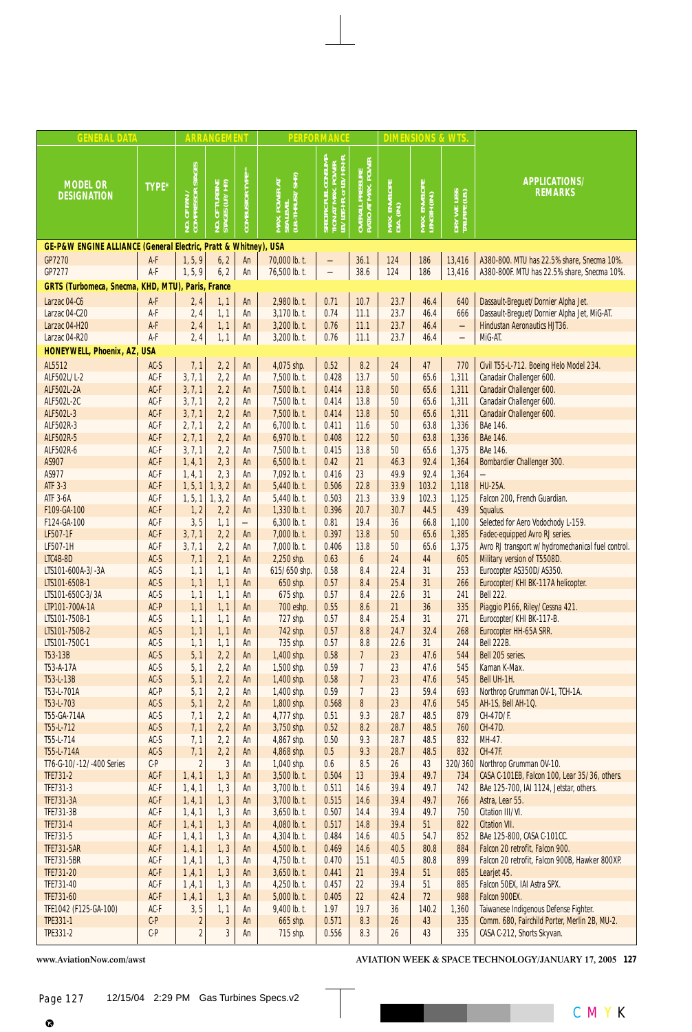| <b>GENERAL DATA</b>                                             |                  |                                   | <b>ARRANGEMENT</b>           |                          |                                                 | <b>PERFORMANCE</b>                                                                     |                                                         |                             | <b>DIMENSIONS &amp; WTS</b>   |                                |                                                                                          |
|-----------------------------------------------------------------|------------------|-----------------------------------|------------------------------|--------------------------|-------------------------------------------------|----------------------------------------------------------------------------------------|---------------------------------------------------------|-----------------------------|-------------------------------|--------------------------------|------------------------------------------------------------------------------------------|
| <b>MODEL OR</b><br><b>DESIGNATION</b>                           | TYPE*            | No. of Fan /<br>Compressor Stages | TURBINE<br>JUP/HP)<br>NO. OF | COMBUSTOR TYPE**         | MAX. POWER AT<br>SEA LEVEL<br>(LB.-THRUST/SHP.) | <b>CONSUMP</b><br>tion at Max. Power<br><u>B./1</u> BF.-HR. or IB./HP.-HR!<br>SPECIFIC | . PRESSURE<br>[ MAX. POWER ]<br>OVERALL I<br>RATIO AT I | MAX. ENVELOPE<br>DIA. (IN.) | MAX. ENVELOPE<br>LENGTH (IN.) | DRY WT. LESS<br>TAILPIPE (LB.) | APPLICATIONS/<br><b>REMARKS</b>                                                          |
| GE-P&W ENGINE ALLIANCE (General Electric, Pratt & Whitney), USA |                  |                                   |                              |                          |                                                 |                                                                                        |                                                         |                             |                               |                                |                                                                                          |
| <b>GP7270</b>                                                   | A-F              | 1, 5, 9                           | 6, 2                         | An                       | 70,000 lb. t.                                   |                                                                                        | 36.1                                                    | 124                         | 186                           | 13,416                         | A380-800. MTU has 22.5% share, Snecma 10%.                                               |
| GP7277                                                          | A-F              | 1, 5, 9                           | 6, 2                         | An                       | 76,500 lb. t.                                   |                                                                                        | 38.6                                                    | 124                         | 186                           | 13,416                         | A380-800F. MTU has 22.5% share, Snecma 10%.                                              |
| GRTS (Turbomeca, Snecma, KHD, MTU), Paris, France               |                  |                                   |                              |                          |                                                 |                                                                                        |                                                         |                             |                               |                                |                                                                                          |
| Larzac 04-C6                                                    | A-F              | 2,4                               | 1, 1                         | An                       | 2,980 lb. t.                                    | 0.71                                                                                   | 10.7                                                    | 23.7                        | 46.4                          | 640                            | Dassault-Breguet/Dornier Alpha Jet.                                                      |
| Larzac 04-C20                                                   | A-F<br>A-F       | 2, 4                              | 1, 1                         | An                       | 3,170 lb. t.<br>3,200 lb. t.                    | 0.74<br>0.76                                                                           | 11.1                                                    | 23.7<br>23.7                | 46.4<br>46.4                  | 666                            | Dassault-Breguet/Dornier Alpha Jet, MiG-AT.<br>Hindustan Aeronautics HJT36.              |
| Larzac 04-H20<br>Larzac 04-R20                                  | A-F              | 2,4<br>2, 4                       | 1, 1<br>1, 1                 | An<br>An                 | 3,200 lb. t.                                    | 0.76                                                                                   | 11.1<br>11.1                                            | 23.7                        | 46.4                          | $\overline{\phantom{0}}$       | MiG-AT.                                                                                  |
| HONEYWELL, Phoenix, AZ, USA                                     |                  |                                   |                              |                          |                                                 |                                                                                        |                                                         |                             |                               |                                |                                                                                          |
| AL5512                                                          | $AC-S$           | 7,1                               | 2, 2                         | An                       | 4,075 shp.                                      | 0.52                                                                                   | 8.2                                                     | 24                          | 47                            | 770                            | Civil T55-L-712. Boeing Helo Model 234.                                                  |
| ALF502L/L-2                                                     | AC-F             | 3, 7, 1                           | 2, 2                         | An                       | 7,500 lb. t.                                    | 0.428                                                                                  | 13.7                                                    | 50                          | 65.6                          | 1,311                          | Canadair Challenger 600.                                                                 |
| <b>ALF502L-2A</b>                                               | AC-F             | 3, 7, 1                           | 2, 2                         | An                       | 7,500 lb. t.                                    | 0.414                                                                                  | 13.8                                                    | 50                          | 65.6                          | 1,311                          | Canadair Challenger 600.                                                                 |
| ALF502L-2C                                                      | AC-F             | 3, 7, 1                           | 2, 2                         | An                       | 7,500 lb. t.                                    | 0.414                                                                                  | 13.8                                                    | 50                          | 65.6                          | 1,311                          | Canadair Challenger 600.                                                                 |
| ALF502L-3                                                       | AC-F             | 3, 7, 1                           | 2, 2                         | An                       | 7,500 lb. t.                                    | 0.414                                                                                  | 13.8                                                    | 50                          | 65.6                          | 1,311                          | Canadair Challenger 600.                                                                 |
| ALF502R-3                                                       | $AC-F$           | 2, 7, 1                           | 2, 2                         | An                       | 6,700 lb. t.                                    | 0.411                                                                                  | 11.6                                                    | 50                          | 63.8                          | 1,336                          | BAe 146.                                                                                 |
| ALF502R-5                                                       | AC-F             | 2, 7, 1                           | 2, 2                         | An                       | 6,970 lb. t.                                    | 0.408                                                                                  | 12.2                                                    | 50                          | 63.8                          | 1,336                          | <b>BAe 146.</b>                                                                          |
| ALF502R-6<br>AS907                                              | AC-F             | 3, 7, 1                           | 2, 2                         | An                       | 7,500 lb. t.                                    | 0.415                                                                                  | 13.8<br>21                                              | 50                          | 65.6<br>92.4                  | 1,375                          | BAe 146.                                                                                 |
| AS977                                                           | $AC-F$<br>AC-F   | 1, 4, 1<br>1, 4, 1                | 2, 3<br>2, 3                 | An<br>An                 | $6,500$ lb. t.<br>7,092 lb. t.                  | 0.42<br>0.416                                                                          | 23                                                      | 46.3<br>49.9                | 92.4                          | 1,364<br>1,364                 | Bombardier Challenger 300.                                                               |
| <b>ATF 3-3</b>                                                  | AC-F             | 1, 5, 1                           | 1, 3, 2                      | An                       | 5,440 lb. t.                                    | 0.506                                                                                  | 22.8                                                    | 33.9                        | 103.2                         | 1,118                          | <b>HU-25A.</b>                                                                           |
| <b>ATF 3-6A</b>                                                 | AC-F             | 1, 5, 1                           | 1, 3, 2                      | An                       | 5,440 lb. t.                                    | 0.503                                                                                  | 21.3                                                    | 33.9                        | 102.3                         | 1,125                          | Falcon 200, French Guardian.                                                             |
| F109-GA-100                                                     | AC-F             | 1, 2                              | 2, 2                         | An                       | $1,330$ lb. t.                                  | 0.396                                                                                  | 20.7                                                    | 30.7                        | 44.5                          | 439                            | Squalus.                                                                                 |
| F124-GA-100                                                     | AC-F             | 3, 5                              | 1, 1                         | $\overline{\phantom{0}}$ | 6,300 lb. t.                                    | 0.81                                                                                   | 19.4                                                    | 36                          | 66.8                          | 1,100                          | Selected for Aero Vodochody L-159.                                                       |
| LF507-1F                                                        | AC-F             | 3, 7, 1                           | 2, 2                         | An                       | $7,000$ lb. t.                                  | 0.397                                                                                  | 13.8                                                    | 50                          | 65.6                          | 1,385                          | Fadec-equipped Avro RJ series.                                                           |
| LF507-1H                                                        | $AC-F$           | 3, 7, 1                           | 2, 2                         | An                       | 7,000 lb. t.                                    | 0.406                                                                                  | 13.8                                                    | 50                          | 65.6                          | 1,375                          | Avro RJ transport w/hydromechanical fuel control.                                        |
| LTC4B-8D                                                        | $AC-S$           | 7,1                               | 2, 1                         | An                       | 2,250 shp.                                      | 0.63                                                                                   | 6                                                       | 24                          | 44                            | 605                            | Military version of T5508D.                                                              |
| LTS101-600A-3/-3A<br>LTS101-650B-1                              | $AC-S$<br>$AC-S$ | 1, 1<br>1, 1                      | 1, 1<br>1, 1                 | An<br>An                 | 615/650 shp.<br>650 shp.                        | 0.58<br>0.57                                                                           | 8.4<br>8.4                                              | 22.4<br>25.4                | 31<br>31                      | 253<br>266                     | Eurocopter AS350D/AS350.<br>Eurocopter/KHI BK-117A helicopter.                           |
| LTS101-650C-3/3A                                                | $AC-S$           | 1, 1                              | 1, 1                         | An                       | 675 shp.                                        | 0.57                                                                                   | 8.4                                                     | 22.6                        | 31                            | 241                            | <b>Bell 222.</b>                                                                         |
| LTP101-700A-1A                                                  | AC-P             | 1, 1                              | 1, 1                         | An                       | 700 eshp.                                       | 0.55                                                                                   | 8.6                                                     | 21                          | 36                            | 335                            | Piaggio P166, Riley/Cessna 421.                                                          |
| LTS101-750B-1                                                   | $AC-S$           | 1, 1                              | 1, 1                         | An                       | 727 shp.                                        | 0.57                                                                                   | 8.4                                                     | 25.4                        | 31                            | 271                            | Eurocopter/KHI BK-117-B.                                                                 |
| LTS101-750B-2                                                   | $AC-S$           | 1, 1                              | 1, 1                         | An                       | 742 shp.                                        | 0.57                                                                                   | 8.8                                                     | 24.7                        | 32.4                          | 268                            | Eurocopter HH-65A SRR.                                                                   |
| LTS101-750C-1                                                   | $AC-S$           | 1, 1                              | 1, 1                         | An                       | 735 shp.                                        | 0.57                                                                                   | 8.8                                                     | 22.6                        | 31                            | 244                            | <b>Bell 222B.</b>                                                                        |
| T53-13B                                                         | $AC-S$           | 5, 1                              | 2, 2                         | An                       | 1,400 shp.                                      | 0.58                                                                                   | $\overline{7}$                                          | 23                          | 47.6                          | 544                            | Bell 205 series.                                                                         |
| T53-A-17A<br>T53-L-13B                                          | $AC-S$           | 5, 1                              | 2, 2<br>2, 2                 | An                       | 1,500 shp.                                      | 0.59<br>0.58                                                                           | $\overline{7}$<br>$\overline{1}$                        | 23<br>23                    | 47.6                          | 545<br>545                     | Kaman K-Max.                                                                             |
| T53-L-701A                                                      | $AC-S$<br>AC-P   | 5, 1<br>5, 1                      | 2, 2                         | An<br>An                 | 1,400 shp.<br>1,400 shp.                        | 0.59                                                                                   | 7                                                       | 23                          | 47.6<br>59.4                  | 693                            | Bell UH-1H.<br>Northrop Grumman OV-1, TCH-1A.                                            |
| T53-L-703                                                       | $AC-S$           | 5, 1                              | 2, 2                         | An                       | 1,800 shp.                                      | 0.568                                                                                  | 8                                                       | 23                          | 47.6                          | 545                            | AH-1S, Bell AH-1Q.                                                                       |
| T55-GA-714A                                                     | $AC-S$           | 7,1                               | 2, 2                         | An                       | 4,777 shp.                                      | 0.51                                                                                   | 9.3                                                     | 28.7                        | 48.5                          | 879                            | CH-47D/F.                                                                                |
| T55-L-712                                                       | $AC-S$           | 7,1                               | 2, 2                         | An                       | 3,750 shp.                                      | 0.52                                                                                   | 8.2                                                     | 28.7                        | 48.5                          | 760                            | CH-47D.                                                                                  |
| T55-L-714                                                       | $AC-S$           | 7,1                               | 2, 2                         | An                       | 4,867 shp.                                      | 0.50                                                                                   | 9.3                                                     | 28.7                        | 48.5                          | 832                            | MH-47.                                                                                   |
| T55-L-714A                                                      | $AC-S$           | 7,1                               | 2, 2                         | An                       | 4,868 shp.                                      | 0.5                                                                                    | 9.3                                                     | 28.7                        | 48.5                          | 832                            | CH-47F.                                                                                  |
| T76-G-10/-12/-400 Series                                        | $\text{C-P}$     | 2                                 | 3                            | An                       | 1,040 shp.                                      | 0.6                                                                                    | 8.5                                                     | 26                          | 43                            | 320/360                        | Northrop Grumman OV-10.                                                                  |
| TFE731-2<br>TFE731-3                                            | $AC-F$<br>$AC-F$ | 1, 4, 1<br>1, 4, 1                | 1, 3<br>1, 3                 | An<br>An                 | $3,500$ lb. t.<br>3,700 lb. t.                  | 0.504<br>0.511                                                                         | 13<br>14.6                                              | 39.4<br>39.4                | 49.7<br>49.7                  | 734<br>742                     | CASA C-101EB, Falcon 100, Lear 35/36, others.<br>BAe 125-700, IAI 1124, Jetstar, others. |
| <b>TFE731-3A</b>                                                | $AC-F$           | 1, 4, 1                           | 1, 3                         | An                       | 3,700 lb. t.                                    | 0.515                                                                                  | 14.6                                                    | 39.4                        | 49.7                          | 766                            | Astra, Lear 55.                                                                          |
| TFE731-3B                                                       | AC-F             | 1, 4, 1                           | 1, 3                         | An                       | $3,650$ lb. t.                                  | 0.507                                                                                  | 14.4                                                    | 39.4                        | 49.7                          | 750                            | Citation III/VI.                                                                         |
| TFE731-4                                                        | $AC-F$           | 1, 4, 1                           | 1, 3                         | An                       | 4,080 lb. t.                                    | 0.517                                                                                  | 14.8                                                    | 39.4                        | 51                            | 822                            | <b>Citation VII.</b>                                                                     |
| TFE731-5                                                        | AC-F             | 1, 4, 1                           | 1, 3                         | An                       | 4,304 lb. t.                                    | 0.484                                                                                  | 14.6                                                    | 40.5                        | 54.7                          | 852                            | BAe 125-800, CASA C-101CC.                                                               |
| <b>TFE731-5AR</b>                                               | $AC-F$           | 1, 4, 1                           | 1, 3                         | An                       | 4,500 lb. t.                                    | 0.469                                                                                  | 14.6                                                    | 40.5                        | 80.8                          | 884                            | Falcon 20 retrofit, Falcon 900.                                                          |
| <b>TFE731-5BR</b>                                               | $AC-F$           | 1, 4, 1                           | 1, 3                         | An                       | 4,750 lb. t.                                    | 0.470                                                                                  | 15.1                                                    | 40.5                        | 80.8                          | 899                            | Falcon 20 retrofit, Falcon 900B, Hawker 800XP.                                           |
| TFE731-20                                                       | AC-F             | 1, 4, 1                           | 1, 3                         | An                       | $3,650$ lb. t.                                  | 0.441<br>0.457                                                                         | 21<br>22                                                | 39.4<br>39.4                | 51<br>51                      | 885<br>885                     | Learjet 45.<br>Falcon 50EX, IAI Astra SPX.                                               |
| TFE731-40<br>TFE731-60                                          | $AC-F$<br>$AC-F$ | 1, 4, 1<br>1, 4, 1                | 1, 3<br>1, 3                 | An<br>An                 | 4,250 lb. t.<br>5,000 lb. t.                    | 0.405                                                                                  | 22                                                      | 42.4                        | 72                            | 988                            | Falcon 900EX.                                                                            |
| TFE1042 (F125-GA-100)                                           | AC-F             | 3, 5                              | 1, 1                         | An                       | 9,400 lb. t.                                    | 1.97                                                                                   | 19.7                                                    | 36                          | 140.2                         | 1,360                          | Taiwanese Indigenous Defense Fighter.                                                    |
| TPE331-1                                                        | $C-P$            | $\overline{\mathbf{c}}$           | 3                            | An                       | 665 shp.                                        | 0.571                                                                                  | 8.3                                                     | 26                          | 43                            | 335                            | Comm. 680, Fairchild Porter, Merlin 2B, MU-2.                                            |
| TPE331-2                                                        | $C-P$            | $\overline{\mathbf{c}}$           | 3                            | An                       | 715 shp.                                        | 0.556                                                                                  | 8.3                                                     | 26                          | 43                            | 335                            | CASA C-212, Shorts Skyvan.                                                               |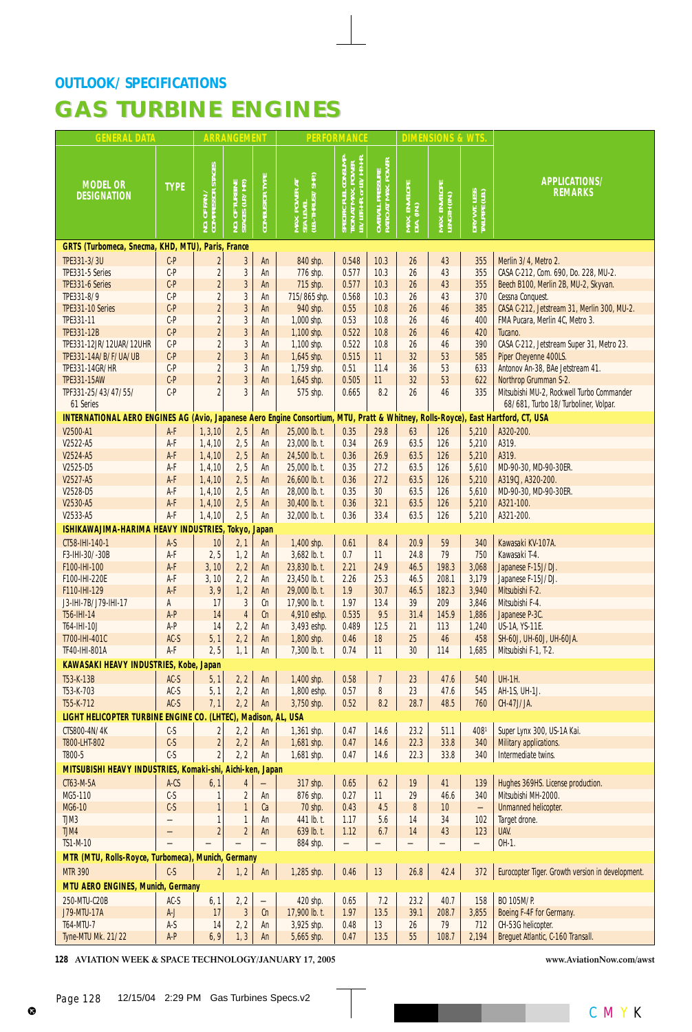| <b>GENERAL DATA</b>                                                                                       |                 |                                           | ARRANGEMENT                    |                       |                                                              | <b>PERFORMANCE</b>                                                                             |                                         |                             | <b>DIMENSIONS &amp; WTS</b>   |                                |                                                                 |
|-----------------------------------------------------------------------------------------------------------|-----------------|-------------------------------------------|--------------------------------|-----------------------|--------------------------------------------------------------|------------------------------------------------------------------------------------------------|-----------------------------------------|-----------------------------|-------------------------------|--------------------------------|-----------------------------------------------------------------|
| <b>MODEL OR</b><br><b>DESIGNATION</b>                                                                     | <b>TYPE</b>     | NO. OF FAN /<br>COMPRESSOR STAGES         | TURBINE<br>(LP, /HP)<br>NO. OF | <b>COMBUSTOR TYPE</b> | SEA LEVEL<br>(LB.-THRUST/SHP.)<br>POWER AT                   | <b>CONSUMP</b><br><b>IR. or LB./HP-HR</b><br><u>e</u><br>띌<br>SPECIFIC<br>TION AT<br>LB./LBE-1 | OVERALL PRESSURE<br>RATIO AT MAX. POWER | MAX. ENVELOPE<br>DIA. (IN.) | MAX. ENVELOPE<br>LENGTH (IN.) | DRY WT. LESS<br>Tailpipe (LB.) | APPLICATIONS/<br><b>REMARKS</b>                                 |
| GRTS (Turbomeca, Snecma, KHD, MTU), Paris, France                                                         |                 |                                           |                                |                       |                                                              |                                                                                                |                                         |                             |                               |                                |                                                                 |
| TPE331-3/3U                                                                                               | $C-P$           | $\overline{2}$                            | $\sqrt{3}$                     | An                    | 840 shp.                                                     | 0.548                                                                                          | 10.3                                    | 26                          | 43                            | 355                            | Merlin 3/4, Metro 2.                                            |
| TPE331-5 Series                                                                                           | $C-P$           | $\overline{2}$                            | 3                              | An                    | 776 shp.                                                     | 0.577                                                                                          | 10.3                                    | 26                          | 43                            | 355                            | CASA C-212, Com. 690, Do. 228, MU-2.                            |
| TPE331-6 Series                                                                                           | $C-P$           | $\overline{2}$                            | $\overline{3}$                 | An                    | 715 shp.                                                     | 0.577                                                                                          | 10.3                                    | 26                          | 43                            | 355                            | Beech B100, Merlin 2B, MU-2, Skyvan.                            |
| TPE331-8/9<br>TPE331-10 Series                                                                            | $C-P$<br>$C-P$  | $\overline{\mathbf{c}}$<br>$\overline{c}$ | 3<br>$\sqrt{3}$                | An<br>An              | 715/865 shp.<br>940 shp.                                     | 0.568<br>0.55                                                                                  | 10.3<br>10.8                            | 26<br>26                    | 43<br>46                      | 370<br>385                     | Cessna Conquest.<br>CASA C-212, Jetstream 31, Merlin 300, MU-2. |
| TPE331-11                                                                                                 | $C-P$           | $\overline{2}$                            | $\sqrt{3}$                     | An                    | 1,000 shp.                                                   | 0.53                                                                                           | 10.8                                    | 26                          | 46                            | 400                            | FMA Pucara, Merlin 4C, Metro 3.                                 |
| TPE331-12B                                                                                                | $C-P$           | $\overline{c}$                            | $\overline{3}$                 | An                    | 1,100 shp.                                                   | 0.522                                                                                          | 10.8                                    | 26                          | 46                            | 420                            | Tucano.                                                         |
| TPE331-12JR/12UAR/12UHR                                                                                   | $C-P$           | $\overline{2}$                            | $\mathbf{3}$                   | An                    | 1,100 shp.                                                   | 0.522                                                                                          | 10.8                                    | 26                          | 46                            | 390                            | CASA C-212, Jetstream Super 31, Metro 23.                       |
| TPE331-14A/B/F/UA/UB                                                                                      | $C-P$           | $\overline{c}$                            | $\overline{3}$                 | An                    | 1,645 shp.                                                   | 0.515                                                                                          | 11                                      | 32                          | 53                            | 585                            | Piper Cheyenne 400LS.                                           |
| TPE331-14GR/HR                                                                                            | $C-P$           | $\overline{2}$                            | $\overline{3}$                 | An                    | 1,759 shp.                                                   | 0.51                                                                                           | 11.4                                    | 36                          | 53                            | 633                            | Antonov An-38, BAe Jetstream 41.                                |
| <b>TPE331-15AW</b>                                                                                        | $C-P$           | $\overline{c}$                            | $\overline{3}$                 | An                    | 1,645 shp.                                                   | 0.505                                                                                          | 11                                      | 32                          | 53                            | 622                            | Northrop Grumman S-2.                                           |
| TPF331-25/43/47/55/                                                                                       | $C-P$           | $\overline{2}$                            | 3                              | An                    | 575 shp.                                                     | 0.665                                                                                          | 8.2                                     | 26                          | 46                            | 335                            | Mitsubishi MU-2, Rockwell Turbo Commander                       |
| 61 Series                                                                                                 |                 |                                           |                                |                       |                                                              |                                                                                                |                                         |                             |                               |                                | 68/681, Turbo 18/Turboliner, Volpar.                            |
| INTERNATIONAL AERO ENGINES AG (Avio, Japanese Aero Engine Consortium, MTU, Pratt & Whitney, Rolls-Royce), |                 |                                           |                                |                       |                                                              |                                                                                                |                                         |                             |                               |                                | East Hartford, CT, USA                                          |
| V2500-A1                                                                                                  | A-F             | 1, 3, 10                                  | 2, 5                           | An                    | 25,000 lb. t.                                                | 0.35                                                                                           | 29.8                                    | 63                          | 126                           | 5,210                          | A320-200.                                                       |
| V2522-A5<br>V2524-A5                                                                                      | A-F<br>A-F      | 1, 4, 10<br>1, 4, 10                      | 2, 5<br>2, 5                   | An<br>An              | 23,000 lb. t.<br>24,500 lb. t.                               | 0.34<br>0.36                                                                                   | 26.9<br>26.9                            | 63.5<br>63.5                | 126<br>126                    | 5,210<br>5,210                 | A319.<br>A319.                                                  |
| V2525-D5                                                                                                  | A-F             | 1, 4, 10                                  | 2, 5                           | An                    | 25,000 lb. t.                                                | 0.35                                                                                           | 27.2                                    | 63.5                        | 126                           | 5,610                          | MD-90-30, MD-90-30ER.                                           |
| V2527-A5                                                                                                  | A-F             | 1, 4, 10                                  | 2, 5                           | An                    | 26,600 lb. t.                                                | 0.36                                                                                           | 27.2                                    | 63.5                        | 126                           | 5,210                          | A319CJ, A320-200.                                               |
| V2528-D5                                                                                                  | A-F             | 1, 4, 10                                  | 2, 5                           | An                    | 28,000 lb. t.                                                | 0.35                                                                                           | 30                                      | 63.5                        | 126                           | 5,610                          | MD-90-30, MD-90-30ER.                                           |
| V2530-A5                                                                                                  | A-F             | 1, 4, 10                                  | 2, 5                           | An                    | 30,400 lb. t.                                                | 0.36                                                                                           | 32.1                                    | 63.5                        | 126                           | 5,210                          | A321-100.                                                       |
| V2533-A5                                                                                                  | A-F             | 1, 4, 10                                  | 2, 5                           | An                    | 32,000 lb. t.                                                | 0.36                                                                                           | 33.4                                    | 63.5                        | 126                           | 5,210                          | A321-200.                                                       |
| ISHIKAWAJIMA-HARIMA HEAVY INDUSTRIES,                                                                     |                 |                                           | Tokyo, Japan                   |                       |                                                              |                                                                                                |                                         |                             |                               |                                |                                                                 |
| CT58-IHI-140-1                                                                                            | $A-S$           | 10                                        | 2, 1                           | An                    | 1,400 shp.                                                   | 0.61                                                                                           | 8.4                                     | 20.9                        | 59                            | 340                            | Kawasaki KV-107A.                                               |
| F3-IHI-30/-30B                                                                                            | A-F             | 2, 5                                      | 1, 2                           | An                    | 3,682 lb. t.                                                 | 0.7                                                                                            | 11                                      | 24.8                        | 79                            | 750                            | Kawasaki T-4.                                                   |
| F100-IHI-100                                                                                              | A-F             | 3, 10                                     | 2, 2                           | An                    | 23,830 lb. t.                                                | 2.21                                                                                           | 24.9                                    | 46.5                        | 198.3                         | 3,068                          | Japanese F-15J/DJ.                                              |
| F100-IHI-220E                                                                                             | A-F             | 3, 10                                     | 2, 2                           | An                    | 23,450 lb. t.                                                | 2.26                                                                                           | 25.3                                    | 46.5                        | 208.1                         | 3,179                          | Japanese F-15J/DJ.                                              |
| F110-IHI-129<br>J3-IHI-7B/J79-IHI-17                                                                      | A-F<br>A        | 3,9<br>17                                 | 1, 2<br>3                      | An<br>Сn              | 29,000 lb. t.<br>17.900 lb. t.                               | 1.9<br>1.97                                                                                    | 30.7<br>13.4                            | 46.5<br>39                  | 182.3<br>209                  | 3,940<br>3,846                 | Mitsubishi F-2.<br>Mitsubishi F-4.                              |
| T56-IHI-14                                                                                                | A-P             | 14                                        | $\overline{4}$                 | Cn                    | 4,910 eshp.                                                  | 0.535                                                                                          | 9.5                                     | 31.4                        | 145.9                         | 1,886                          | Japanese P-3C.                                                  |
| T64-IHI-10J                                                                                               | A-P             | 14                                        | 2, 2                           | An                    | 3,493 eshp.                                                  | 0.489                                                                                          | 12.5                                    | 21                          | 113                           | 1,240                          | US-1A, YS-11E.                                                  |
| T700-IHI-401C                                                                                             | AC-S            | 5, 1                                      | 2, 2                           | An                    | 1,800 shp.                                                   | 0.46                                                                                           | 18                                      | 25                          | 46                            | 458                            | SH-60J, UH-60J, UH-60JA.                                        |
| TF40-IHI-801A                                                                                             | A-F             | 2, 5                                      | 1, 1                           | An                    | 7,300 lb. t.                                                 | 0.74                                                                                           | 11                                      | 30                          | 114                           | 1,685                          | Mitsubishi F-1, T-2.                                            |
| <b>KAWASAKI HEAVY INDUSTRIES, Kobe, Japan</b>                                                             |                 |                                           |                                |                       |                                                              |                                                                                                |                                         |                             |                               |                                |                                                                 |
| T53-K-13B                                                                                                 | AC-S            | 5, 1                                      |                                |                       | 2, 2   An   1,400 shp.   0.58   7   23   47.6   540   UH-1H. |                                                                                                |                                         |                             |                               |                                |                                                                 |
| T53-K-703                                                                                                 | $AC-S$          | 5, 1                                      | 2, 2                           | An                    | 1,800 eshp.                                                  | 0.57                                                                                           | 8                                       | 23                          | 47.6                          | 545                            | AH-1S, UH-1J.                                                   |
| T55-K-712                                                                                                 | $AC-S$          | 7,1                                       | 2, 2                           | An                    | 3,750 shp.                                                   | 0.52                                                                                           | 8.2                                     | 28.7                        | 48.5                          | 760                            | CH-47J/JA.                                                      |
| LIGHT HELICOPTER TURBINE ENGINE CO. (LHTEC), Madison, AL, USA                                             |                 |                                           |                                |                       |                                                              |                                                                                                |                                         |                             |                               |                                |                                                                 |
| CTS800-4N/4K                                                                                              | $C-S$           | 2                                         | 2, 2                           | An                    | 1,361 shp.                                                   | 0.47                                                                                           | 14.6                                    | 23.2                        | 51.1                          | 4081                           | Super Lynx 300, US-1A Kai.                                      |
| T800-LHT-802                                                                                              | $C-S$           | $\overline{2}$                            | 2, 2                           | An                    | 1,681 shp.                                                   | 0.47                                                                                           | 14.6                                    | 22.3                        | 33.8                          | 340                            | Military applications.                                          |
| T800-5                                                                                                    | $C-S$           | $\overline{2}$                            | 2, 2                           | An                    | 1,681 shp.                                                   | 0.47                                                                                           | 14.6                                    | 22.3                        | 33.8                          | 340                            | Intermediate twins.                                             |
| MITSUBISHI HEAVY INDUSTRIES, Komaki-shi, Aichi-ken, Japan                                                 |                 |                                           |                                |                       |                                                              |                                                                                                |                                         |                             |                               |                                |                                                                 |
| CT63-M-5A                                                                                                 | A-CS            | 6, 1                                      | $\overline{4}$                 |                       | 317 shp.                                                     | 0.65                                                                                           | 6.2                                     | 19                          | 41                            | 139                            | Hughes 369HS. License production.                               |
| MG5-110                                                                                                   | $C-S$           |                                           | 2                              | An                    | 876 shp.                                                     | 0.27                                                                                           | 11                                      | 29                          | 46.6                          | 340                            | Mitsubishi MH-2000.                                             |
| MG6-10<br>TJM3                                                                                            | $C-S$           |                                           | $\mathbf{1}$                   | Ca                    | 70 shp.                                                      | 0.43                                                                                           | 4.5                                     | 8                           | 10 <sup>1</sup>               |                                | <b>Unmanned helicopter.</b>                                     |
| TJM4                                                                                                      |                 | $\overline{2}$                            | $\mathbf{1}$<br>$\overline{2}$ | An<br>An              | 441 lb. t.<br>639 lb. t.                                     | 1.17<br>1.12                                                                                   | 5.6<br>6.7                              | 14<br>14                    | 34<br>43                      | 102<br>123                     | Target drone.<br>UAV.                                           |
| <b>TS1-M-10</b>                                                                                           |                 |                                           |                                |                       | 884 shp.                                                     |                                                                                                |                                         |                             |                               |                                | OH-1.                                                           |
| MTR (MTU, Rolls-Royce, Turbomeca), Munich, Germany                                                        |                 |                                           |                                |                       |                                                              |                                                                                                |                                         |                             |                               |                                |                                                                 |
| <b>MTR 390</b>                                                                                            | $C-S$           | $\overline{2}$                            | 1, 2                           | An                    | 1,285 shp.                                                   | 0.46                                                                                           | 13                                      | $26.8$                      | 42.4                          | 372                            | Eurocopter Tiger. Growth version in development.                |
| MTU AERO ENGINES, Munich, Germany                                                                         |                 |                                           |                                |                       |                                                              |                                                                                                |                                         |                             |                               |                                |                                                                 |
|                                                                                                           |                 |                                           |                                |                       |                                                              |                                                                                                |                                         | 23.2                        |                               |                                | BO 105M/P.                                                      |
| 250-MTU-C20B<br><b>J79-MTU-17A</b>                                                                        | $AC-S$<br>$A-J$ | 6, 1<br>17                                | 2, 2<br>3                      | Cn                    | 420 shp.<br>17,900 lb. t.                                    | 0.65<br>1.97                                                                                   | 7.2<br>13.5                             | 39.1                        | 40.7<br>208.7                 | 158<br>3,855                   | Boeing F-4F for Germany.                                        |
| T64-MTU-7                                                                                                 | $A-S$           | 14                                        | 2, 2                           | An                    | 3,925 shp.                                                   | 0.48                                                                                           | 13                                      | 26                          | 79                            | 712                            | CH-53G helicopter.                                              |
| Tyne-MTU Mk. 21/22                                                                                        | A-P             | 6, 9                                      | 1, 3                           | An                    | 5,665 shp.                                                   | 0.47                                                                                           | 13.5                                    | 55                          | 108.7                         | 2,194                          | Breguet Atlantic, C-160 Transall.                               |
|                                                                                                           |                 |                                           |                                |                       |                                                              |                                                                                                |                                         |                             |                               |                                |                                                                 |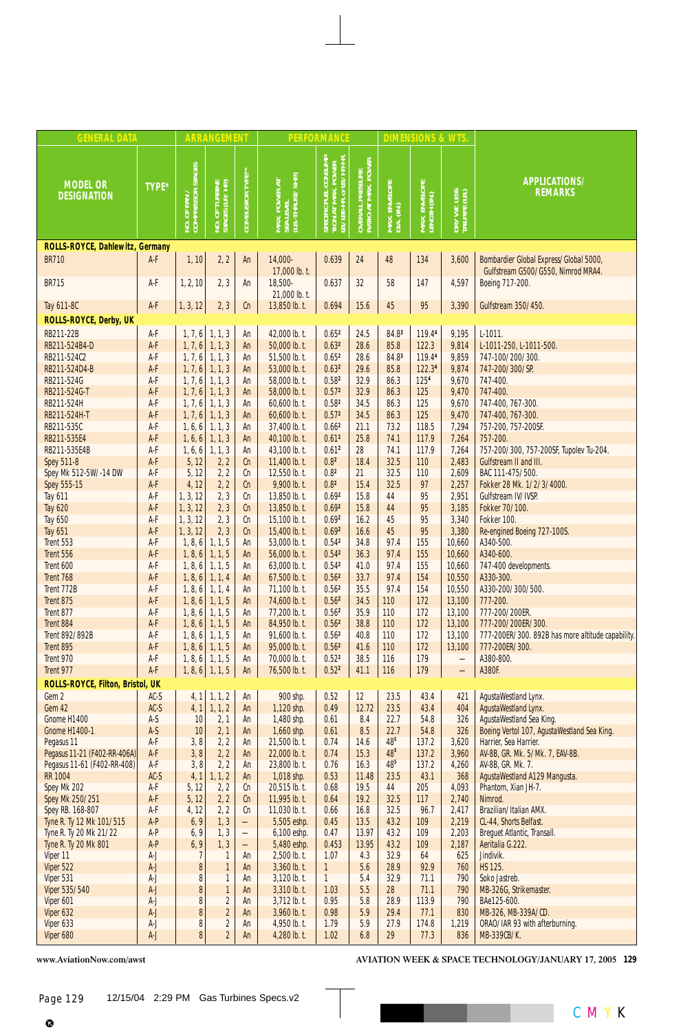| <b>GENERAL DATA</b>                                         |                |                                                 | <b>ARRANGEMENT</b>                |                          |                                                 | <b>PERFORMANCE</b>                                                        |                                                              |                             | <b>DIMENSIONS &amp; WTS</b>   |                                |                                                                              |
|-------------------------------------------------------------|----------------|-------------------------------------------------|-----------------------------------|--------------------------|-------------------------------------------------|---------------------------------------------------------------------------|--------------------------------------------------------------|-----------------------------|-------------------------------|--------------------------------|------------------------------------------------------------------------------|
| <b>MODEL OR</b><br><b>DESIGNATION</b>                       | TYPE*          | OF FAN /<br>MPRESSOR STAGES <br>25 <sup>o</sup> | NO. OF TURBINE<br>STAGES (LP./HP) | <b>COMBUSTOR TYPE**</b>  | MAX. POWER AT<br>SEA LEVEL<br>(LB.-THRUST/SHP.) | SPECIFIC FUEL CONSUMP-<br>TION AT MAX. POWER<br>LB./LBF-HR. or LB./HP-HR. | . PRESSURE<br>[ MAX. POWER<br><b>OVERALL I</b><br>RATIO AT I | MAX. ENVELOPE<br>DIA. (IN.) | MAX. ENVELOPE<br>LENGTH (IN.) | DRY WT. LESS<br>TAILPIPE (LB.) | APPLICATIONS/<br><b>REMARKS</b>                                              |
| ROLLS-ROYCE, Dahlewitz, Germany                             |                |                                                 |                                   |                          |                                                 |                                                                           |                                                              |                             |                               |                                |                                                                              |
| <b>BR710</b>                                                | A-F            | 1, 10                                           | 2, 2                              | An                       | 14,000-<br>17,000 lb. t.                        | 0.639                                                                     | 24                                                           | 48                          | 134                           | 3,600                          | Bombardier Global Express/Global 5000,<br>Gulfstream G500/G550, Nimrod MRA4. |
| <b>BR715</b>                                                | A-F            | 1, 2, 10                                        | 2, 3                              | An                       | 18,500-<br>21,000 lb. t.                        | 0.637                                                                     | 32                                                           | 58                          | 147                           | 4,597                          | Boeing 717-200.                                                              |
| Tay 611-8C                                                  | $A-F$          | 1, 3, 12                                        | 2, 3                              | cn                       | 13,850 lb. t.                                   | 0.694                                                                     | 15.6                                                         | 45                          | 95                            | 3,390                          | Gulfstream 350/450.                                                          |
| ROLLS-ROYCE, Derby, UK                                      |                |                                                 |                                   |                          |                                                 |                                                                           |                                                              |                             |                               |                                |                                                                              |
| RB211-22B                                                   | A-F            |                                                 | $1, 7, 6$ 1, 1, 3                 | An                       | 42,000 lb. t.                                   | 0.65 <sup>2</sup>                                                         | 24.5                                                         | 84.83                       | 119.44                        | 9,195                          | $L-1011.$                                                                    |
| RB211-524B4-D                                               | A-F            | 1, 7, 6                                         | 1, 1, 3                           | An                       | 50,000 lb. t.                                   | 0.63 <sup>2</sup>                                                         | 28.6                                                         | 85.8                        | 122.3                         | 9,814                          | L-1011-250, L-1011-500.                                                      |
| RB211-524C2                                                 | A-F            | 1, 7, 6                                         | 1, 1, 3                           | An                       | 51,500 lb. t.                                   | 0.65 <sup>2</sup>                                                         | 28.6                                                         | 84.83                       | 119.44                        | 9,859                          | 747-100/200/300.                                                             |
| RB211-524D4-B                                               | A-F            | 1, 7, 6                                         | 1, 1, 3                           | An                       | 53,000 lb. t.                                   | 0.63 <sup>2</sup>                                                         | 29.6                                                         | 85.8                        | 122.34                        | 9,874                          | 747-200/300/SP.                                                              |
| RB211-524G<br>RB211-524G-T                                  | A-F<br>A-F     | 1, 7, 6<br>1, 7, 6                              | 1, 1, 3<br>1, 1, 3                | An<br>An                 | 58,000 lb. t.<br>58,000 lb. t.                  | 0.58 <sup>2</sup><br>0.57 <sup>2</sup>                                    | 32.9<br>32.9                                                 | 86.3<br>86.3                | 1254<br>125                   | 9,670<br>9,470                 | 747-400.<br>747-400.                                                         |
| RB211-524H                                                  | A-F            | 1, 7, 6                                         | 1, 1, 3                           | An                       | 60,600 lb. t.                                   | 0.58 <sup>2</sup>                                                         | 34.5                                                         | 86.3                        | 125                           | 9,670                          | 747-400, 767-300.                                                            |
| RB211-524H-T                                                | A-F            | 1, 7, 6                                         | 1, 1, 3                           | An                       | 60,600 lb. t.                                   | 0.57 <sup>2</sup>                                                         | 34.5                                                         | 86.3                        | 125                           | 9,470                          | 747-400, 767-300.                                                            |
| RB211-535C                                                  | A-F            | 1, 6, 6                                         | 1, 1, 3                           | An                       | 37,400 lb. t.                                   | 0.66 <sup>2</sup>                                                         | 21.1                                                         | 73.2                        | 118.5                         | 7,294                          | 757-200, 757-200SF.                                                          |
| RB211-535E4                                                 | A-F            | 1, 6, 6                                         | 1, 1, 3                           | An                       | 40,100 lb. t.                                   | 0.61 <sup>2</sup>                                                         | 25.8                                                         | 74.1                        | 117.9                         | 7,264                          | 757-200.                                                                     |
| RB211-535E4B                                                | A-F            | 1, 6, 6                                         | 1, 1, 3                           | An                       | 43,100 lb. t.                                   | 0.61 <sup>2</sup>                                                         | 28                                                           | 74.1                        | 117.9                         | 7,264                          | 757-200/300, 757-200SF, Tupolev Tu-204.                                      |
| <b>Spey 511-8</b>                                           | A-F            | 5, 12                                           | 2, 2                              | cn                       | 11,400 lb. t.                                   | 0.8 <sup>2</sup>                                                          | 18.4                                                         | 32.5                        | 110                           | 2,483                          | Gulfstream II and III.                                                       |
| Spey Mk 512-5W/-14 DW                                       | A-F            | 5, 12                                           | 2, 2                              | cn                       | 12,550 lb. t.                                   | 0.8 <sup>2</sup>                                                          | 21                                                           | 32.5                        | 110                           | 2,609                          | BAC 111-475/500.                                                             |
| Spey 555-15                                                 | A-F            | 4, 12                                           | 2, 2                              | cn                       | 9,900 lb. t.                                    | 0.8 <sup>2</sup>                                                          | 15.4                                                         | 32.5                        | 97                            | 2,257                          | Fokker 28 Mk. 1/2/3/4000.                                                    |
| <b>Tay 611</b>                                              | A-F            | 1, 3, 12                                        | 2, 3                              | Cn                       | 13,850 lb. t.                                   | 0.692                                                                     | 15.8                                                         | 44                          | 95                            | 2,951                          | Gulfstream IV/IVSP.                                                          |
| <b>Tay 620</b><br><b>Tay 650</b>                            | A-F<br>A-F     | 1, 3, 12<br>1, 3, 12                            | 2, 3<br>2, 3                      | cn<br>cn                 | 13,850 lb. t.<br>15,100 lb. t.                  | 0.69 <sup>2</sup><br>0.69 <sup>2</sup>                                    | 15.8<br>16.2                                                 | 44<br>45                    | 95<br>95                      | 3,185<br>3,340                 | Fokker 70/100.<br>Fokker 100.                                                |
| <b>Tay 651</b>                                              | A-F            | 1, 3, 12                                        | 2, 3                              | cn                       | 15,400 lb. t.                                   | 0.69 <sup>2</sup>                                                         | 16.6                                                         | 45                          | 95                            | 3,380                          | Re-engined Boeing 727-100S.                                                  |
| Trent 553                                                   | A-F            | 1, 8, 6                                         | 1, 1, 5                           | An                       | 53,000 lb. t.                                   | 0.54 <sup>2</sup>                                                         | 34.8                                                         | 97.4                        | 155                           | 10,660                         | A340-500.                                                                    |
| Trent 556                                                   | A-F            | 1, 8, 6                                         | 1, 1, 5                           | An                       | 56,000 lb. t.                                   | 0.54 <sup>2</sup>                                                         | 36.3                                                         | 97.4                        | 155                           | 10,660                         | A340-600.                                                                    |
| Trent 600                                                   | A-F            | 1, 8, 6                                         | 1, 1, 5                           | An                       | 63,000 lb. t.                                   | 0.542                                                                     | 41.0                                                         | 97.4                        | 155                           | 10,660                         | 747-400 developments.                                                        |
| Trent 768                                                   | A-F            | 1, 8, 6                                         | 1, 1, 4                           | An                       | 67,500 lb. t.                                   | 0.56 <sup>2</sup>                                                         | 33.7                                                         | 97.4                        | 154                           | 10,550                         | A330-300.                                                                    |
| Trent 772B                                                  | A-F            | 1, 8, 6                                         | 1, 1, 4                           | An                       | 71,100 lb. t.                                   | 0.56 <sup>2</sup>                                                         | 35.5                                                         | 97.4                        | 154                           | 10,550                         | A330-200/300/500.                                                            |
| Trent 875                                                   | A-F            | 1, 8, 6                                         | 1, 1, 5                           | An                       | 74,600 lb. t.                                   | 0.56 <sup>2</sup>                                                         | 34.5                                                         | 110                         | 172                           | 13,100                         | 777-200.                                                                     |
| Trent 877                                                   | A-F            | 1, 8, 6                                         | 1, 1, 5                           | An                       | 77,200 lb. t.                                   | 0.56 <sup>2</sup>                                                         | 35.9                                                         | 110                         | 172                           | 13,100                         | 777-200/200ER.                                                               |
| Trent 884<br>Trent 892/892B                                 | A-F<br>A-F     | 1, 8, 6<br>1, 8, 6                              | 1, 1, 5<br>1, 1, 5                | An<br>An                 | 84,950 lb. t.<br>91,600 lb. t.                  | 0.56 <sup>2</sup><br>0.56 <sup>2</sup>                                    | 38.8<br>40.8                                                 | 110<br>110                  | 172<br>172                    | 13,100<br>13,100               | 777-200/200ER/300.<br>777-200ER/300. 892B has more altitude capability.      |
| Trent 895                                                   | A-F            | 1, 8, 6                                         | 1, 1, 5                           | An                       | 95,000 lb. t.                                   | 0.56 <sup>2</sup>                                                         | 41.6                                                         | 110                         | 172                           | 13,100                         | 777-200ER/300.                                                               |
| Trent 970                                                   | A-F            | 1, 8, 6                                         | 1, 1, 5                           | An                       | 70,000 lb. t.                                   | 0.52 <sup>2</sup>                                                         | 38.5                                                         | 116                         | 179                           | $\overline{\phantom{0}}$       | A380-800.                                                                    |
| Trent 977                                                   | A-F            |                                                 | $1, 8, 6$ 1, 1, 5                 | An                       | 76,500 lb. t.                                   | 0.52 <sup>2</sup>                                                         | 41.1                                                         | 116                         | 179                           | $\overline{\phantom{0}}$       | A380F.                                                                       |
| ROLLS-ROYCE, Filton, Bristol, UK                            |                |                                                 |                                   |                          |                                                 |                                                                           |                                                              |                             |                               |                                |                                                                              |
| Gem 2                                                       | $AC-S$         | 4, 1                                            | 1, 1, 2                           | An                       | 900 shp.                                        | 0.52                                                                      | 12                                                           | 23.5                        | 43.4                          | 421                            | AgustaWestland Lynx.                                                         |
| Gem 42                                                      | $AC-S$         | 4, 1                                            | 1, 1, 2                           | An                       | 1,120 shp.                                      | 0.49                                                                      | 12.72                                                        | 23.5                        | 43.4                          | 404                            | AgustaWestland Lynx.                                                         |
| Gnome H1400                                                 | A-S            | 10                                              | 2, 1                              | An                       | 1,480 shp.                                      | 0.61                                                                      | 8.4                                                          | 22.7                        | 54.8                          | 326                            | AgustaWestland Sea King.                                                     |
| <b>Gnome H1400-1</b>                                        | $A-S$          | $10$                                            | 2, 1                              | An                       | 1,660 shp.                                      | 0.61                                                                      | 8.5                                                          | 22.7                        | 54.8                          | 326                            | Boeing Vertol 107, AgustaWestland Sea King.                                  |
| Pegasus 11                                                  | A-F            | 3, 8                                            | 2, 2                              | An                       | 21,500 lb. t.                                   | 0.74                                                                      | 14.6                                                         | $48^{5}$                    | 137.2                         | 3,620                          | Harrier, Sea Harrier.                                                        |
| Pegasus 11-21 (F402-RR-406A)<br>Pegasus 11-61 (F402-RR-408) | A-F<br>A-F     | 3,8<br>3, 8                                     | 2, 2<br>2, 2                      | An<br>An                 | $22,000$ lb. t.<br>23,800 lb. t.                | 0.74<br>0.76                                                              | 15.3<br>16.3                                                 | $48^{5}$<br>48 <sup>5</sup> | 137.2<br>137.2                | 3,960<br>4,260                 | AV-8B, GR. Mk. 5/Mk. 7, EAV-8B.<br>AV-8B, GR. Mk. 7.                         |
| <b>RR 1004</b>                                              | $AC-S$         | 4, 1                                            | 1, 1, 2                           | An                       | 1,018 shp.                                      | 0.53                                                                      | 11.48                                                        | 23.5                        | 43.1                          | 368                            | AgustaWestland A129 Mangusta.                                                |
| Spey Mk 202                                                 | A-F            | 5, 12                                           | 2, 2                              | Сn                       | 20,515 lb. t.                                   | 0.68                                                                      | 19.5                                                         | 44                          | 205                           | 4,093                          | Phantom, Xian JH-7.                                                          |
| Spey Mk 250/251                                             | A-F            | 5, 12                                           | 2, 2                              | cn                       | 11,995 lb. t.                                   | 0.64                                                                      | 19.2                                                         | 32.5                        | 117                           | 2,740                          | Nimrod.                                                                      |
| Spey RB. 168-807                                            | A-F            | 4, 12                                           | 2, 2                              | Сn                       | 11,030 lb. t.                                   | 0.66                                                                      | 16.8                                                         | 32.5                        | 96.7                          | 2,417                          | Brazilian/Italian AMX.                                                       |
| Tyne R. Ty 12 Mk 101/515                                    | A-P            | 6, 9                                            | 1, 3                              | $\qquad \qquad -$        | 5,505 eshp.                                     | 0.45                                                                      | 13.5                                                         | 43.2                        | 109                           | 2,219                          | CL-44, Shorts Belfast.                                                       |
| Tyne R. Ty 20 Mk 21/22                                      | $A-P$          | 6, 9                                            | 1, 3                              |                          | 6,100 eshp.                                     | 0.47                                                                      | 13.97                                                        | 43.2                        | 109                           | 2,203                          | Breguet Atlantic, Transall.                                                  |
| Tyne R. Ty 20 Mk 801<br>Viper 11                            | $A-P$<br>$A-J$ | 6, 9                                            | 1, 3                              | $\overline{\phantom{0}}$ | 5,480 eshp.                                     | 0.453<br>1.07                                                             | 13.95                                                        | 43.2<br>32.9                | 109<br>64                     | 2,187<br>625                   | Aeritalia G.222.<br>Jindivik.                                                |
| Viper 522                                                   | $A-J$          | 7<br>$\pmb{8}$                                  | 1<br>$\mathbf{1}$                 | An<br>An                 | 2,500 lb. t.<br>$3,360$ lb. t.                  | $\mathbf{1}$                                                              | 4.3<br>5.6                                                   | 28.9                        | 92.9                          | 760                            | <b>HS 125.</b>                                                               |
| Viper 531                                                   | $A-J$          | $\overline{\bf 8}$                              | 1                                 | An                       | $3,120$ lb. t.                                  | $\mathbf{1}$                                                              | 5.4                                                          | 32.9                        | 71.1                          | 790                            | Soko Jastreb.                                                                |
| Viper 535/540                                               | $A-J$          | 8                                               | $\mathbf{1}$                      | An                       | 3,310 lb. t.                                    | 1.03                                                                      | 5.5                                                          | 28                          | 71.1                          | 790                            | MB-326G, Strikemaster.                                                       |
| Viper 601                                                   | $A-J$          | $\pmb{8}$                                       | $\overline{2}$                    | An                       | $3,712$ lb. t.                                  | 0.95                                                                      | 5.8                                                          | 28.9                        | 113.9                         | 790                            | BAe125-600.                                                                  |
| Viper 632                                                   | $A-J$          | 8                                               | $\overline{c}$                    | An                       | 3,960 lb. t.                                    | 0.98                                                                      | 5.9                                                          | 29.4                        | 77.1                          | 830                            | MB-326, MB-339A/CD.                                                          |
| Viper 633                                                   | $A-J$          | 8                                               | $\overline{2}$                    | An                       | 4,950 lb. t.                                    | 1.79                                                                      | 5.9                                                          | 27.9                        | 174.8                         | 1,219                          | ORAO/IAR 93 with afterburning.                                               |
| Viper 680                                                   | $A-J$          | 8                                               | $\overline{2}$                    | An                       | 4,280 lb. t.                                    | 1.02                                                                      | 6.8                                                          | 29                          | 77.3                          | 836                            | MB-339CB/K.                                                                  |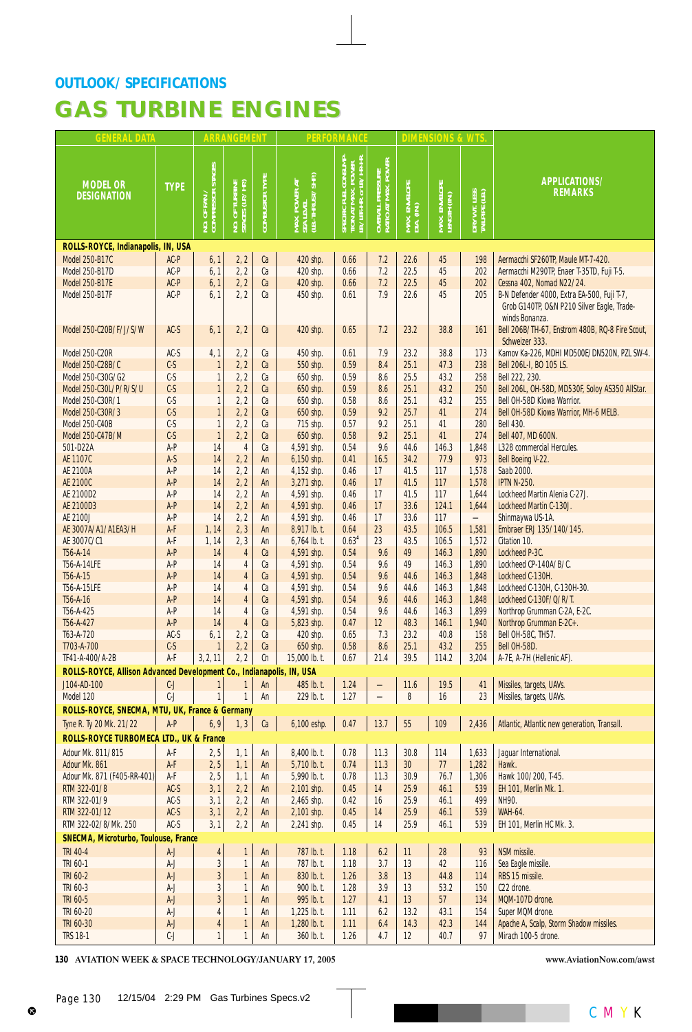| <b>GENERAL DATA</b>                                                  |                |                                   | <b>ARRANGEMENT</b>            |                       |                                                            | <b>PERFORMANCE</b>                                                                    |                                         |                             | <b>DIMENSIONS &amp; WTS</b>   |                                |                                                                                                            |
|----------------------------------------------------------------------|----------------|-----------------------------------|-------------------------------|-----------------------|------------------------------------------------------------|---------------------------------------------------------------------------------------|-----------------------------------------|-----------------------------|-------------------------------|--------------------------------|------------------------------------------------------------------------------------------------------------|
| <b>MODEL OR</b><br><b>DESIGNATION</b>                                | <b>TYPE</b>    | NO. OF FAN /<br>COMPRESSOR STAGES | TURBINE<br>(LP./HP)<br>NO. OF | <b>COMBUSTOR TYPE</b> | MAX. POWER AT<br>SEA LEVEL<br>(LB.-THRUST/SHP)<br>POWER AT | <b>CONSUMP</b><br>B./LBF .- HR. or LB./HP .- HR.<br>Ř<br>g<br>SPECIFIC I<br>TION AT I | OVERALL PRESSURE<br>RATIO AT MAX. POWER | MAX. ENVELOPE<br>DIA. (IN.) | MAX. ENVELOPE<br>LENGTH (IN.) | DRY WT. LESS<br>TAILPIPE (LB.) | APPLICATIONS/<br><b>REMARKS</b>                                                                            |
| ROLLS-ROYCE, Indianapolis, IN, USA                                   |                |                                   |                               |                       |                                                            |                                                                                       |                                         |                             |                               |                                |                                                                                                            |
| <b>Model 250-B17C</b>                                                | AC-P           | 6, 1                              | 2, 2                          | Ca                    | 420 shp.                                                   | 0.66                                                                                  | 7.2                                     | 22.6                        | 45                            | 198                            | Aermacchi SF260TP, Maule MT-7-420.                                                                         |
| <b>Model 250-B17D</b>                                                | AC-P           | 6, 1                              | 2, 2                          | Ca                    | 420 shp.                                                   | 0.66                                                                                  | 7.2                                     | 22.5                        | 45                            | 202                            | Aermacchi M290TP, Enaer T-35TD, Fuji T-5.                                                                  |
| <b>Model 250-B17E</b>                                                | AC-P<br>AC-P   | 6, 1                              | 2, 2                          | Ca                    | 420 shp.                                                   | 0.66                                                                                  | 7.2<br>7.9                              | 22.5                        | 45<br>45                      | 202                            | Cessna 402, Nomad N22/24.                                                                                  |
| <b>Model 250-B17F</b>                                                |                | 6, 1                              | 2, 2                          | Ca                    | 450 shp.                                                   | 0.61                                                                                  |                                         | 22.6                        |                               | 205                            | B-N Defender 4000, Extra EA-500, Fuji T-7,<br>Grob G140TP, O&N P210 Silver Eagle, Trade-<br>winds Bonanza. |
| Model 250-C20B/F/J/S/W                                               | $AC-S$         | 6, 1                              | 2, 2                          | Ca                    | 420 shp.                                                   | 0.65                                                                                  | 7.2                                     | 23.2                        | 38.8                          | 161                            | Bell 206B/TH-67, Enstrom 480B, RQ-8 Fire Scout,<br>Schweizer 333.                                          |
| <b>Model 250-C20R</b>                                                | $AC-S$         | 4, 1                              | 2, 2                          | Ca                    | 450 shp.                                                   | 0.61                                                                                  | 7.9                                     | 23.2                        | 38.8                          | 173                            | Kamov Ka-226, MDHI MD500E/DN520N, PZL SW-4.                                                                |
| Model 250-C28B/C                                                     | $C-S$          | $\mathbf{1}$                      | 2, 2                          | Ca                    | 550 shp.                                                   | 0.59                                                                                  | 8.4                                     | 25.1                        | 47.3                          | 238                            | Bell 206L-I, BO 105 LS.                                                                                    |
| Model 250-C30G/G2                                                    | $C-S$          | 1                                 | 2, 2                          | Ca                    | 650 shp.                                                   | 0.59                                                                                  | 8.6                                     | 25.5                        | 43.2                          | 258                            | Bell 222, 230.                                                                                             |
| Model 250-C30L/P/R/S/U                                               | $C-S$          | $\mathbf{1}$                      | 2, 2                          | Ca                    | 650 shp.                                                   | 0.59                                                                                  | 8.6                                     | 25.1                        | 43.2                          | 250                            | Bell 206L, OH-58D, MD530F, Soloy AS350 AllStar.                                                            |
| Model 250-C30R/1                                                     | $C-S$          | $\mathbf{1}$                      | 2, 2                          | Ca                    | 650 shp.                                                   | 0.58                                                                                  | 8.6                                     | 25.1                        | 43.2                          | 255                            | Bell OH-58D Kiowa Warrior.                                                                                 |
| Model 250-C30R/3                                                     | $C-S$          | $\mathbf{1}$                      | 2, 2                          | Ca                    | 650 shp.                                                   | 0.59                                                                                  | 9.2                                     | 25.7                        | 41                            | 274                            | Bell OH-58D Kiowa Warrior, MH-6 MELB.                                                                      |
| <b>Model 250-C40B</b>                                                | $C-S$<br>$C-S$ | $\mathbf{1}$                      | 2, 2                          | Ca<br>Ca              | 715 shp.                                                   | 0.57                                                                                  | 9.2<br>9.2                              | 25.1<br>25.1                | 41<br>41                      | 280<br>274                     | <b>Bell 430.</b>                                                                                           |
| Model 250-C47B/M<br>501-D22A                                         | A-P            | $\mathbf{1}$<br>14                | 2, 2<br>$\overline{4}$        | Ca                    | 650 shp.<br>4,591 shp.                                     | 0.58<br>0.54                                                                          | 9.6                                     | 44.6                        | 146.3                         | 1,848                          | Bell 407, MD 600N.<br>L328 commercial Hercules.                                                            |
| AE 1107C                                                             | $A-S$          | 14                                | 2, 2                          | An                    | 6,150 shp.                                                 | 0.41                                                                                  | 16.5                                    | 34.2                        | 77.9                          | 973                            | Bell Boeing V-22.                                                                                          |
| AE 2100A                                                             | A-P            | 14                                | 2, 2                          | An                    | 4,152 shp.                                                 | 0.46                                                                                  | 17                                      | 41.5                        | 117                           | 1,578                          | Saab 2000.                                                                                                 |
| AE 2100C                                                             | A-P            | 14                                | 2, 2                          | An                    | 3,271 shp.                                                 | 0.46                                                                                  | 17                                      | 41.5                        | 117                           | 1,578                          | <b>IPTN N-250.</b>                                                                                         |
| AE 2100D2                                                            | A-P            | 14                                | 2, 2                          | An                    | 4,591 shp.                                                 | 0.46                                                                                  | 17                                      | 41.5                        | 117                           | 1,644                          | Lockheed Martin Alenia C-27J.                                                                              |
| AE 2100D3                                                            | $A-P$          | 14                                | 2, 2                          | An                    | 4,591 shp.                                                 | 0.46                                                                                  | 17                                      | 33.6                        | 124.1                         | 1,644                          | Lockheed Martin C-130J.                                                                                    |
| AE 2100J                                                             | $A-P$          | 14                                | 2, 2                          | An                    | 4,591 shp.                                                 | 0.46                                                                                  | 17                                      | 33.6                        | 117                           |                                | Shinmaywa US-1A.                                                                                           |
| AE 3007A/A1/A1EA3/H                                                  | A-F            | 1, 14                             | 2, 3                          | An                    | 8,917 lb. t.                                               | 0.64                                                                                  | 23                                      | 43.5                        | 106.5                         | 1,581                          | Embraer ERJ 135/140/145.                                                                                   |
| AE 3007C/C1                                                          | A-F            | 1, 14                             | 2, 3                          | An                    | 6,764 lb. t.                                               | 0.63 <sup>4</sup>                                                                     | 23                                      | 43.5                        | 106.5                         | 1,572                          | Citation 10.                                                                                               |
| T56-A-14                                                             | A-P            | 14                                | $\overline{4}$                | Ca                    | 4,591 shp.                                                 | 0.54                                                                                  | 9.6                                     | 49                          | 146.3                         | 1,890                          | Lockheed P-3C.                                                                                             |
| T56-A-14LFE<br>T56-A-15                                              | A-P<br>A-P     | 14<br>14                          | 4<br>$\overline{4}$           | Ca<br>Ca              | 4,591 shp.<br>4,591 shp.                                   | 0.54<br>0.54                                                                          | 9.6<br>9.6                              | 49<br>44.6                  | 146.3<br>146.3                | 1,890<br>1,848                 | Lockheed CP-140A/B/C.<br>Lockheed C-130H.                                                                  |
| T56-A-15LFE                                                          | A-P            | 14                                | $\overline{4}$                | Ca                    | 4,591 shp.                                                 | 0.54                                                                                  | 9.6                                     | 44.6                        | 146.3                         | 1,848                          | Lockheed C-130H, C-130H-30.                                                                                |
| T56-A-16                                                             | A-P            | 14                                | $\overline{4}$                | Ca                    | 4,591 shp.                                                 | 0.54                                                                                  | 9.6                                     | 44.6                        | 146.3                         | 1,848                          | Lockheed C-130F/Q/R/T.                                                                                     |
| T56-A-425                                                            | A-P            | 14                                | $\overline{4}$                | Ca                    | 4,591 shp.                                                 | 0.54                                                                                  | 9.6                                     | 44.6                        | 146.3                         | 1,899                          | Northrop Grumman C-2A, E-2C.                                                                               |
| T56-A-427                                                            | A-P            | 14                                | $\overline{4}$                | Ca                    | 5,823 shp.                                                 | 0.47                                                                                  | 12                                      | 48.3                        | 146.1                         | 1,940                          | Northrop Grumman E-2C+.                                                                                    |
| T63-A-720                                                            | $AC-S$         | 6, 1                              | 2, 2                          | Ca                    | 420 shp.                                                   | 0.65                                                                                  | 7.3                                     | 23.2                        | 40.8                          | 158                            | Bell OH-58C, TH57.                                                                                         |
| T703-A-700                                                           | $C-S$          | $\mathbf{1}$                      | 2, 2                          | Ca                    | 650 shp.                                                   | 0.58                                                                                  | 8.6                                     | 25.1                        | 43.2                          | 255                            | Bell OH-58D.                                                                                               |
| TF41-A-400/A-2B                                                      | A-F            | 3, 2, 11                          | 2, 2                          | Cn                    | 15,000 lb. t.                                              | 0.67                                                                                  | 21.4                                    | 39.5                        | 114.2                         | 3,204                          | A-7E, A-7H (Hellenic AF).                                                                                  |
| ROLLS-ROYCE, Allison Advanced Development Co., Indianapolis, IN, USA |                |                                   |                               |                       |                                                            |                                                                                       |                                         |                             |                               |                                |                                                                                                            |
| J104-AD-100                                                          | $C-J$          | 1                                 | $\mathbf{1}$                  | An                    | 485 lb. t.                                                 | 1.24                                                                                  |                                         | 11.6                        | 19.5                          | 41                             | Missiles, targets, UAVs.                                                                                   |
| Model 120                                                            | $C-J$          | $\mathbf{1}$                      | $\mathbf{1}$                  | An                    | 229 lb. t.                                                 | 1.27                                                                                  |                                         | 8                           | 16                            | 23                             | Missiles, targets, UAVs.                                                                                   |
| ROLLS-ROYCE, SNECMA, MTU, UK, France & Germany                       |                |                                   |                               |                       |                                                            |                                                                                       |                                         |                             |                               |                                |                                                                                                            |
| Tyne R. Ty 20 Mk. 21/22<br>ROLLS-ROYCE TURBOMECA LTD., UK & France   | $A-P$          | 6, 9                              | 1, 3                          | Ca                    | 6,100 eshp.                                                | 0.47                                                                                  | $13.7$                                  | $55\,$                      | 109                           | 2,436                          | Atlantic, Atlantic new generation, Transall.                                                               |
| Adour Mk. 811/815                                                    | A-F            | 2, 5                              | 1, 1                          | An                    | 8,400 lb. t.                                               | 0.78                                                                                  | 11.3                                    | 30.8                        | 114                           | 1,633                          | Jaguar International.                                                                                      |
| Adour Mk. 861                                                        | $A-F$          | 2, 5                              | 1, 1                          | An                    | 5,710 lb. t.                                               | 0.74                                                                                  | 11.3                                    | 30 <sup>°</sup>             | 77                            | 1,282                          | Hawk.                                                                                                      |
| Adour Mk. 871 (F405-RR-401)                                          | A-F            | 2, 5                              | 1, 1                          | An                    | 5,990 lb. t.                                               | 0.78                                                                                  | 11.3                                    | 30.9                        | 76.7                          | 1,306                          | Hawk 100/200, T-45.                                                                                        |
| RTM 322-01/8                                                         | $AC-S$         | 3, 1                              | 2, 2                          | An                    | 2,101 shp.                                                 | 0.45                                                                                  | 14                                      | 25.9                        | 46.1                          | 539                            | EH 101, Merlin Mk. 1.                                                                                      |
| RTM 322-01/9                                                         | $AC-S$         | 3, 1                              | 2, 2                          | An                    | 2,465 shp.                                                 | 0.42                                                                                  | 16                                      | 25.9                        | 46.1                          | 499                            | NH90.                                                                                                      |
| RTM 322-01/12                                                        | $AC-S$         | 3, 1                              | 2, 2                          | An                    | 2,101 shp.                                                 | 0.45                                                                                  | 14                                      | 25.9                        | 46.1                          | 539                            | <b>WAH-64.</b>                                                                                             |
| RTM 322-02/8/Mk. 250                                                 | $AC-S$         | 3, 1                              | 2, 2                          | An                    | 2,241 shp.                                                 | 0.45                                                                                  | 14                                      | 25.9                        | 46.1                          | 539                            | EH 101, Merlin HC Mk. 3.                                                                                   |
| SNECMA, Microturbo, Toulouse, France                                 |                |                                   |                               |                       |                                                            |                                                                                       |                                         |                             |                               |                                |                                                                                                            |
| <b>TRI 40-4</b>                                                      | $A-J$          | $\overline{4}$                    | $\mathbf{1}$                  | An                    | 787 lb. t.                                                 | 1.18                                                                                  | 6.2                                     | 11                          | 28                            | 93                             | NSM missile.                                                                                               |
| TRI 60-1                                                             | A-J            | $\overline{\mathbf{3}}$           | $\mathbf{1}$                  | An                    | 787 lb. t.                                                 | 1.18                                                                                  | 3.7                                     | 13                          | 42                            | 116                            | Sea Eagle missile.                                                                                         |
| <b>TRI 60-2</b>                                                      | $A-J$          | $\overline{3}$                    | $\mathbf{1}$                  | An                    | 830 lb. t.                                                 | 1.26                                                                                  | 3.8                                     | 13                          | 44.8                          | 114                            | RBS 15 missile.                                                                                            |
| TRI 60-3<br>TRI 60-5                                                 | A-J<br>$A-J$   | 3<br>3                            | $\mathbf{1}$<br>$\mathbf{1}$  | An                    | 900 lb. t.<br>995 lb. t.                                   | 1.28<br>1.27                                                                          | 3.9<br>4.1                              | 13<br>13                    | 53.2<br>57                    | 150                            | C22 drone.<br>MQM-107D drone.                                                                              |
| TRI 60-20                                                            | A-J            | 4                                 | $\mathbf{1}$                  | An<br>An              | 1,225 lb. t.                                               | 1.11                                                                                  | 6.2                                     | 13.2                        | 43.1                          | 134<br>154                     | Super MQM drone.                                                                                           |
| TRI 60-30                                                            | $A-J$          | 4                                 | $\mathbf{1}$                  | An                    | 1,280 lb. t.                                               | 1.11                                                                                  | 6.4                                     | 14.3                        | 42.3                          | 144                            | Apache A, Scalp, Storm Shadow missiles.                                                                    |
| <b>TRS 18-1</b>                                                      | $C-J$          | 1                                 | $\mathbf{1}$                  | An                    | 360 lb. t.                                                 | 1.26                                                                                  | 4.7                                     | 12 <sup>°</sup>             | 40.7                          | 97                             | Mirach 100-5 drone.                                                                                        |
|                                                                      |                |                                   |                               |                       |                                                            |                                                                                       |                                         |                             |                               |                                |                                                                                                            |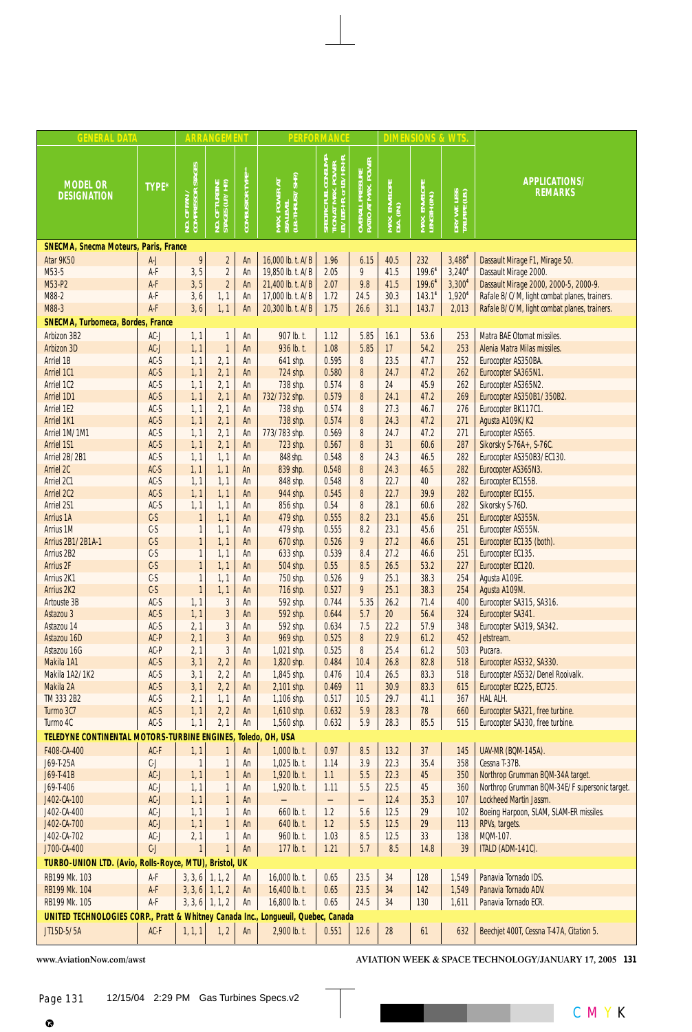| <b>GENERAL DATA</b>                                                               |                                |                                   | <b>ARRANGEMENT</b>               |                         |                                                 | <b>PERFORMANCE</b>                                                        |                                                         |                             | <b>DIMENSIONS &amp; WTS</b>   |                                |                                               |
|-----------------------------------------------------------------------------------|--------------------------------|-----------------------------------|----------------------------------|-------------------------|-------------------------------------------------|---------------------------------------------------------------------------|---------------------------------------------------------|-----------------------------|-------------------------------|--------------------------------|-----------------------------------------------|
| <b>MODEL OR</b><br><b>DESIGNATION</b>                                             | TYPE*                          | of fan /<br>IPRESSOR STAGES<br>§ĕ | NO. OF TURBINE<br>STAGES (LP/HP) | <b>COMBUSTOR TYPE**</b> | MAX. POWER AT<br>SEA LEVEL<br>(LB.-THRUST/SHP.) | SPECIFIC FUEL CONSUMP-<br>TION AT MAX. POWER<br>LB./LBF-HR, or LB./HP-HR. | . PRESSURE<br>[ MAX. POWER ]<br>OVERALL I<br>RATIO AT I | MAX. ENVELOPE<br>DIA. (IN.) | MAX. ENVELOPE<br>LENGTH (IN.) | DRY WT. LESS<br>TAILPIPE (LB.) | APPLICATIONS/<br><b>REMARKS</b>               |
| <b>SNECMA, Snecma Moteurs, Paris, France</b>                                      |                                |                                   |                                  |                         |                                                 |                                                                           |                                                         |                             |                               |                                |                                               |
| Atar 9K50                                                                         | $A-J$                          | 9                                 | $\overline{\mathbf{c}}$          | An                      | 16,000 lb. t. A/B                               | 1.96                                                                      | 6.15                                                    | 40.5                        | 232                           | 3,4884                         | Dassault Mirage F1, Mirage 50.                |
| M53-5                                                                             | A-F                            | 3, 5                              | $\overline{2}$                   | An                      | 19,850 lb. t. A/B                               | 2.05                                                                      | 9                                                       | 41.5                        | 199.6 <sup>4</sup>            | 3,240 <sup>4</sup>             | Dassault Mirage 2000.                         |
| M53-P2                                                                            | A-F                            | 3, 5                              | $\overline{\mathbf{c}}$          | An                      | 21,400 lb. t. A/B                               | 2.07                                                                      | 9.8                                                     | 41.5                        | 199.64                        | 3,300 <sup>4</sup>             | Dassault Mirage 2000, 2000-5, 2000-9.         |
| M88-2                                                                             | A-F                            | 3, 6                              | 1, 1                             | An                      | 17,000 lb. t. A/B                               | 1.72                                                                      | 24.5                                                    | 30.3                        | 143.1 <sup>4</sup>            | 1,920 <sup>4</sup>             | Rafale B/C/M, light combat planes, trainers.  |
| M88-3                                                                             | $\mathsf{A}\text{-}\mathsf{F}$ | 3, 6                              | 1, 1                             | An                      | 20,300 lb. t. A/B                               | 1.75                                                                      | 26.6                                                    | 31.1                        | 143.7                         | 2,013                          | Rafale B/C/M, light combat planes, trainers.  |
| <b>SNECMA, Turbomeca, Bordes, France</b>                                          |                                |                                   |                                  |                         |                                                 |                                                                           |                                                         |                             |                               |                                |                                               |
| Arbizon 3B2                                                                       | $AC-J$                         | 1, 1                              | 1                                | An                      | 907 lb. t.                                      | 1.12                                                                      | 5.85                                                    | 16.1                        | 53.6                          | 253                            | Matra BAE Otomat missiles.                    |
| Arbizon 3D                                                                        | $AC-J$                         | 1, 1                              | $\mathbf{1}$                     | An                      | 936 lb. t.                                      | 1.08                                                                      | 5.85                                                    | 17                          | 54.2                          | 253                            | Alenia Matra Milas missiles.                  |
| Arriel 1B                                                                         | $AC-S$                         | 1, 1                              | 2, 1                             | An                      | 641 shp.                                        | 0.595                                                                     | 8                                                       | 23.5                        | 47.7                          | 252                            | Eurocopter AS350BA.                           |
| Arriel 1C1                                                                        | $AC-S$                         | 1, 1                              | 2, 1                             | An                      | 724 shp.                                        | 0.580                                                                     | 8                                                       | 24.7                        | 47.2                          | 262                            | Eurocopter SA365N1.                           |
| Arriel 1C2                                                                        | $AC-S$                         | 1, 1                              | 2, 1                             | An                      | 738 shp.                                        | 0.574                                                                     | 8                                                       | 24                          | 45.9                          | 262                            | Eurocopter AS365N2.                           |
| Arriel 1D1                                                                        | $AC-S$                         | 1, 1                              | 2, 1                             | An                      | 732/732 shp.                                    | 0.579                                                                     | 8                                                       | 24.1                        | 47.2                          | 269                            | Eurocopter AS350B1/350B2.                     |
| Arriel 1E2<br>Arriel 1K1                                                          | $AC-S$<br>$AC-S$               | 1, 1                              | 2, 1<br>2, 1                     | An<br>An                | 738 shp.<br>738 shp.                            | 0.574<br>0.574                                                            | 8<br>8                                                  | 27.3<br>24.3                | 46.7<br>47.2                  | 276<br>271                     | Eurocopter BK117C1.                           |
| Arriel 1M/1M1                                                                     | $AC-S$                         | 1, 1<br>1, 1                      | 2, 1                             | An                      | 773/783 shp.                                    | 0.569                                                                     | 8                                                       | 24.7                        | 47.2                          | 271                            | Agusta A109K/K2<br>Eurocopter AS565.          |
| <b>Arriel 1S1</b>                                                                 | $AC-S$                         | 1, 1                              | 2, 1                             | An                      | 723 shp.                                        | 0.567                                                                     | 8                                                       | 31                          | 60.6                          | 287                            | Sikorsky S-76A+, S-76C.                       |
| Arriel 2B/2B1                                                                     | $AC-S$                         | 1, 1                              | 1, 1                             | An                      | 848 shp.                                        | 0.548                                                                     | 8                                                       | 24.3                        | 46.5                          | 282                            | Eurocopter AS350B3/EC130.                     |
| Arriel 2C                                                                         | $AC-S$                         | 1, 1                              | 1, 1                             | An                      | 839 shp.                                        | 0.548                                                                     | 8                                                       | 24.3                        | 46.5                          | 282                            | Eurocopter AS365N3.                           |
| Arriel 2C1                                                                        | $AC-S$                         | 1, 1                              | 1, 1                             | An                      | 848 shp.                                        | 0.548                                                                     | 8                                                       | 22.7                        | 40                            | 282                            | Eurocopter EC155B.                            |
| Arriel 2C2                                                                        | $AC-S$                         | 1, 1                              | 1, 1                             | An                      | 944 shp.                                        | 0.545                                                                     | 8                                                       | 22.7                        | 39.9                          | 282                            | Eurocopter EC155.                             |
| <b>Arriel 2S1</b>                                                                 | $AC-S$                         | 1, 1                              | 1, 1                             | An                      | 856 shp.                                        | 0.54                                                                      | 8                                                       | 28.1                        | 60.6                          | 282                            | Sikorsky S-76D.                               |
| Arrius 1A                                                                         | $C-S$                          | $\mathbf{1}$                      | 1, 1                             | An                      | 479 shp.                                        | 0.555                                                                     | 8.2                                                     | 23.1                        | 45.6                          | 251                            | Eurocopter AS355N.                            |
| <b>Arrius 1M</b>                                                                  | $C-S$                          | $\mathbf{1}$                      | 1, 1                             | An                      | 479 shp.                                        | 0.555                                                                     | 8.2                                                     | 23.1                        | 45.6                          | 251                            | Eurocopter AS555N.                            |
| <b>Arrius 2B1/2B1A-1</b>                                                          | $C-S$                          | $\mathbf{1}$                      | 1, 1                             | An                      | 670 shp.                                        | 0.526                                                                     | 9                                                       | 27.2                        | 46.6                          | 251                            | Eurocopter EC135 (both).                      |
| Arrius 2B2                                                                        | $C-S$                          | $\overline{\mathbf{1}}$           | 1, 1                             | An                      | 633 shp.                                        | 0.539                                                                     | 8.4                                                     | 27.2                        | 46.6                          | 251                            | Eurocopter EC135.                             |
| <b>Arrius 2F</b>                                                                  | $C-S$                          | $\mathbf{1}$                      | 1, 1                             | An                      | 504 shp.                                        | 0.55                                                                      | 8.5                                                     | 26.5                        | 53.2                          | 227                            | Eurocopter EC120.                             |
| Arrius 2K1                                                                        | $C-S$                          | 1                                 | 1, 1                             | An                      | 750 shp.                                        | 0.526                                                                     | 9                                                       | 25.1                        | 38.3                          | 254                            | Agusta A109E.                                 |
| <b>Arrius 2K2</b>                                                                 | $C-S$                          | $\mathbf{1}$                      | 1, 1                             | An                      | 716 shp.                                        | 0.527                                                                     | 9                                                       | 25.1                        | 38.3                          | 254                            | Agusta A109M.                                 |
| Artouste 3B                                                                       | $AC-S$                         | 1, 1                              | 3                                | An                      | 592 shp.                                        | 0.744                                                                     | 5.35                                                    | 26.2                        | 71.4                          | 400                            | Eurocopter SA315, SA316.                      |
| Astazou 3                                                                         | $AC-S$                         | 1, 1                              | $\overline{3}$                   | An                      | 592 shp.                                        | 0.644                                                                     | 5.7                                                     | 20 <sub>2</sub>             | 56.4                          | 324                            | Eurocopter SA341.                             |
| Astazou 14                                                                        | $AC-S$                         | 2, 1                              | 3                                | An                      | 592 shp.                                        | 0.634                                                                     | 7.5                                                     | 22.2                        | 57.9                          | 348                            | Eurocopter SA319, SA342.                      |
| Astazou 16D<br>Astazou 16G                                                        | AC-P<br>AC-P                   | 2, 1                              | 3<br>3                           | An                      | 969 shp.                                        | 0.525<br>0.525                                                            | 8<br>8                                                  | 22.9<br>25.4                | 61.2<br>61.2                  | 452<br>503                     | Jetstream.<br>Pucara.                         |
| Makila 1A1                                                                        | $AC-S$                         | 2, 1<br>3, 1                      | 2, 2                             | An<br>An                | 1,021 shp.<br>1,820 shp.                        | 0.484                                                                     | 10.4                                                    | 26.8                        | 82.8                          | 518                            | Eurocopter AS332, SA330.                      |
| Makila 1A2/1K2                                                                    | AC-S                           | 3, 1                              | 2, 2                             | An                      | 1.845 shp.                                      | 0.476                                                                     | 10.4                                                    | 26.5                        | 83.3                          | 518                            | Eurocopter AS532/Denel Rooivalk.              |
| Makila 2A                                                                         | $AC-S$                         | 3, 1                              | 2, 2                             | An                      | 2,101 shp.                                      | 0.469                                                                     | 11                                                      | 30.9                        | 83.3                          | 615                            | Eurocopter EC225, EC725.                      |
| TM 333 2B2                                                                        | $AC-S$                         | 2, 1                              | 1, 1                             | An                      | 1,106 shp.                                      | 0.517                                                                     | 10.5                                                    | 29.7                        | 41.1                          | 367                            | HAL ALH.                                      |
| Turmo 3C7                                                                         | $AC-S$                         | 1, 1                              | 2, 2                             | An                      | 1,610 shp.                                      | 0.632                                                                     | 5.9                                                     | 28.3                        | 78                            | 660                            | Eurocopter SA321, free turbine.               |
| Turmo 4C                                                                          | $AC-S$                         | 1, 1                              | 2, 1                             | An                      | 1,560 shp.                                      | 0.632                                                                     | 5.9                                                     | 28.3                        | 85.5                          | 515                            | Eurocopter SA330, free turbine.               |
| <b>TELEDYNE CONTINENTAL MOTORS-TURBINE ENGINES</b>                                |                                |                                   |                                  |                         | Toledo, OH, USA                                 |                                                                           |                                                         |                             |                               |                                |                                               |
| F408-CA-400                                                                       | $AC-F$                         | 1, 1                              | $\mathbf{1}$                     | An                      | 1,000 lb. t.                                    | 0.97                                                                      | 8.5                                                     | $13.2$                      | 37                            | 145                            | <b>UAV-MR (BQM-145A).</b>                     |
| J69-T-25A                                                                         | $C-J$                          | 1                                 | 1                                | An                      | 1,025 lb. t.                                    | 1.14                                                                      | 3.9                                                     | 22.3                        | 35.4                          | 358                            | Cessna T-37B.                                 |
| J69-T-41B                                                                         | $AC-J$                         | 1, 1                              | 1                                | An                      | 1,920 lb. t.                                    | 1.1                                                                       | 5.5                                                     | 22.3                        | 45                            | 350                            | Northrop Grumman BQM-34A target.              |
| J69-T-406                                                                         | $AC-J$                         | 1, 1                              | 1                                | An                      | 1,920 lb. t.                                    | 1.11                                                                      | 5.5                                                     | 22.5                        | 45                            | 360                            | Northrop Grumman BQM-34E/F supersonic target. |
| J402-CA-100                                                                       | $AC-J$                         | 1, 1                              | $\mathbf{1}$                     | An                      |                                                 | —                                                                         | $\overline{\phantom{0}}$                                | 12.4                        | 35.3                          | 107                            | Lockheed Martin Jassm.                        |
| J402-CA-400                                                                       | $AC-J$                         | 1, 1                              | 1                                | An                      | 660 lb. t.                                      | 1.2                                                                       | 5.6                                                     | 12.5                        | 29                            | 102                            | Boeing Harpoon, SLAM, SLAM-ER missiles.       |
| J402-CA-700                                                                       | $AC-J$                         | 1, 1                              | $\mathbf{1}$                     | An                      | 640 lb. t.                                      | 1.2                                                                       | 5.5                                                     | 12.5                        | 29                            | 113                            | RPVs, targets.                                |
| J402-CA-702                                                                       | $AC-J$                         | 2, 1                              | 1                                | An                      | 960 lb. t.                                      | 1.03                                                                      | 8.5                                                     | 12.5                        | 33                            | 138                            | MQM-107.                                      |
| J700-CA-400                                                                       | $\mathbb{C}\text{-}\mathsf{J}$ | 1                                 |                                  | An                      | 177 lb. t.                                      | 1.21                                                                      | 5.7                                                     | $8.5\,$                     | 14.8                          | 39                             | <b>ITALD (ADM-141C).</b>                      |
| TURBO-UNION LTD. (Avio, Rolls-Royce, MTU),                                        |                                |                                   | <b>Bristol, UK</b>               |                         |                                                 |                                                                           |                                                         |                             |                               |                                |                                               |
| RB199 Mk. 103                                                                     | A-F                            | 3, 3, 6                           | 1, 1, 2                          | An                      | 16,000 lb. t.                                   | 0.65                                                                      | 23.5                                                    | 34                          | 128                           | 1,549                          | Panavia Tornado IDS.                          |
| <b>RB199 Mk. 104</b>                                                              | $A-F$                          |                                   | $3, 3, 6$ 1, 1, 2                | An                      | 16,400 lb. t.                                   | 0.65                                                                      | 23.5                                                    | 34                          | 142                           | 1,549                          | Panavia Tornado ADV.                          |
| RB199 Mk. 105                                                                     | $A-F$                          |                                   | $3, 3, 6$ 1, 1, 2                | An                      | 16,800 lb. t.                                   | 0.65                                                                      | 24.5                                                    | 34                          | 130                           | 1,611                          | Panavia Tornado ECR.                          |
| UNITED TECHNOLOGIES CORP., Pratt & Whitney Canada Inc., Longueuil, Quebec, Canada |                                |                                   |                                  |                         |                                                 |                                                                           |                                                         |                             |                               |                                |                                               |
| JT15D-5/5A                                                                        | AC-F                           | 1, 1, 1                           | 1, 2                             | An                      | 2,900 lb. t.                                    | 0.551                                                                     | $12.6$                                                  | $28\,$                      | 61                            | 632                            | Beechjet 400T, Cessna T-47A, Citation 5.      |
|                                                                                   |                                |                                   |                                  |                         |                                                 |                                                                           |                                                         |                             |                               |                                |                                               |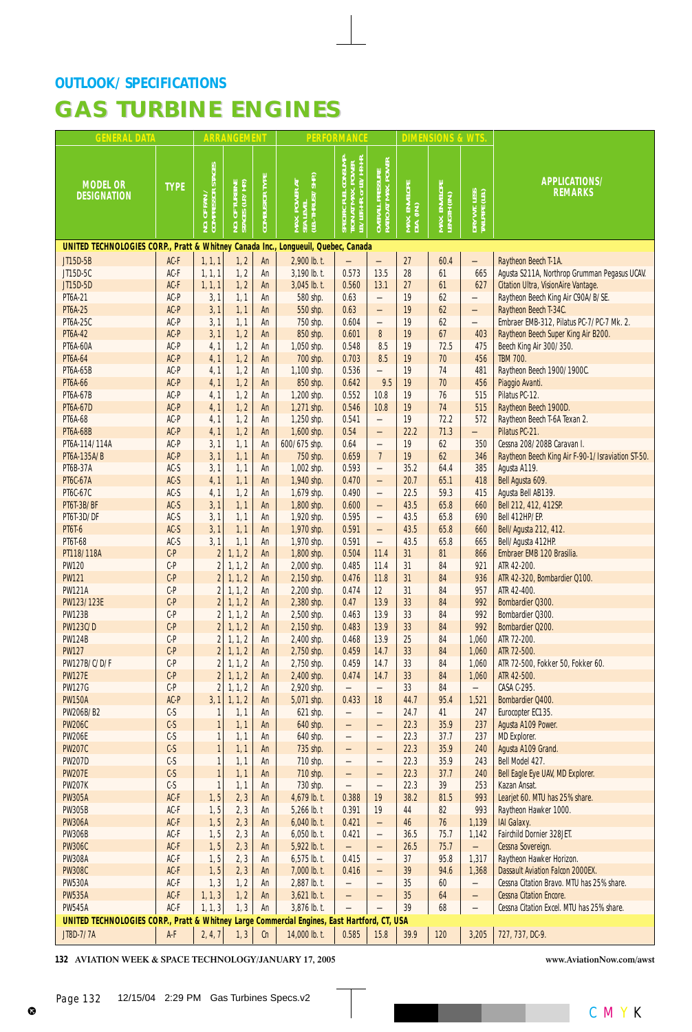| <b>GENERAL DATA</b>                                                                         |                 |                                           | <b>ARRANGEMENT</b>             |                       |                                                 | <b>PERFORMANCE</b>                                                                       |                                                         |                             | <b>DIMENSIONS &amp; WTS</b>   |                                |                                                                                  |
|---------------------------------------------------------------------------------------------|-----------------|-------------------------------------------|--------------------------------|-----------------------|-------------------------------------------------|------------------------------------------------------------------------------------------|---------------------------------------------------------|-----------------------------|-------------------------------|--------------------------------|----------------------------------------------------------------------------------|
| <b>MODEL OR</b><br><b>DESIGNATION</b>                                                       | <b>TYPE</b>     | NO. OF FAN /<br>COMPRESSOR STAGES         | TURBINE<br>(LP./HP.)<br>NO. OF | <b>COMBUSTOR TYPE</b> | MAX. POWER AT<br>SEA LEVEL<br>(LB.-THRUST/SHP.) | ; fuel consump-<br>" MAX. POWER<br>HR. or IB./HP-HR.<br>SPECIFIC<br>TION AT<br>LB./LBF.+ | . PRESSURE<br>" MAX. POWER  <br>OVERALL I<br>RATIO AT I | MAX. ENVELOPE<br>DIA. (IN.) | MAX. ENVELOPE<br>LENGTH (IN.) | DRY WT. LESS<br>Tailpipe (LB.) | APPLICATIONS/<br><b>REMARKS</b>                                                  |
| UNITED TECHNOLOGIES CORP., Pratt & Whitney Canada Inc., Longueuil, Quebec, Canada           |                 |                                           |                                |                       |                                                 |                                                                                          |                                                         |                             |                               |                                |                                                                                  |
| JT15D-5B                                                                                    | $AC-F$          | 1, 1, 1                                   | 1, 2                           | An                    | 2,900 lb. t.                                    |                                                                                          |                                                         | 27                          | 60.4                          |                                | Raytheon Beech T-1A.                                                             |
| JT15D-5C                                                                                    | AC-F            | 1, 1, 1                                   | 1, 2                           | An                    | 3,190 lb. t.                                    | 0.573                                                                                    | 13.5                                                    | 28                          | 61                            | 665                            | Agusta S211A, Northrop Grumman Pegasus UCAV.                                     |
| JT15D-5D<br><b>PT6A-21</b>                                                                  | AC-F<br>AC-P    | 1, 1, 1<br>3, 1                           | 1, 2<br>1, 1                   | An<br>An              | $3,045$ lb. t.<br>580 shp.                      | 0.560<br>0.63                                                                            | 13.1                                                    | 27<br>19                    | 61<br>62                      | 627                            | <b>Citation Ultra, VisionAire Vantage.</b><br>Raytheon Beech King Air C90A/B/SE. |
| <b>PT6A-25</b>                                                                              | AC-P            | 3,1                                       | 1, 1                           | An                    | 550 shp.                                        | 0.63                                                                                     | $\overline{\phantom{0}}$<br>$\qquad \qquad -$           | 19                          | 62                            | —<br>$\overline{\phantom{0}}$  | Raytheon Beech T-34C.                                                            |
| <b>PT6A-25C</b>                                                                             | AC-P            | 3, 1                                      | 1, 1                           | An                    | 750 shp.                                        | 0.604                                                                                    | $\overline{\phantom{0}}$                                | 19                          | 62                            | $\overline{\phantom{0}}$       | Embraer EMB-312, Pilatus PC-7/PC-7 Mk. 2.                                        |
| <b>PT6A-42</b>                                                                              | AC-P            | 3,1                                       | 1, 2                           | An                    | 850 shp.                                        | 0.601                                                                                    | 8                                                       | 19                          | 67                            | 403                            | Raytheon Beech Super King Air B200.                                              |
| <b>PT6A-60A</b>                                                                             | AC-P            | 4, 1                                      | 1, 2                           | An                    | 1,050 shp.                                      | 0.548                                                                                    | 8.5                                                     | 19                          | 72.5                          | 475                            | Beech King Air 300/350.                                                          |
| <b>PT6A-64</b>                                                                              | AC-P            | 4, 1                                      | 1, 2                           | An                    | 700 shp.                                        | 0.703                                                                                    | 8.5                                                     | 19                          | 70                            | 456                            | <b>TBM 700.</b>                                                                  |
| <b>PT6A-65B</b>                                                                             | AC-P            | 4, 1                                      | 1, 2                           | An                    | 1,100 shp.                                      | 0.536                                                                                    |                                                         | 19                          | 74                            | 481                            | Raytheon Beech 1900/1900C.                                                       |
| <b>PT6A-66</b>                                                                              | AC-P            | 4, 1                                      | 1, 2                           | An                    | 850 shp.                                        | 0.642                                                                                    | 9.5                                                     | 19                          | 70                            | 456                            | Piaggio Avanti.                                                                  |
| <b>PT6A-67B</b>                                                                             | AC-P            | 4, 1                                      | 1, 2                           | An                    | 1,200 shp.                                      | 0.552                                                                                    | 10.8                                                    | 19                          | 76                            | 515                            | Pilatus PC-12.                                                                   |
| <b>PT6A-67D</b><br><b>PT6A-68</b>                                                           | AC-P<br>AC-P    | 4, 1<br>4, 1                              | 1, 2<br>1, 2                   | An                    | 1,271 shp.                                      | 0.546<br>0.541                                                                           | 10.8                                                    | 19<br>19                    | 74<br>72.2                    | 515<br>572                     | Raytheon Beech 1900D.<br>Raytheon Beech T-6A Texan 2.                            |
| <b>PT6A-68B</b>                                                                             | AC-P            | 4, 1                                      | 1, 2                           | An<br>An              | 1,250 shp.<br>1,600 shp.                        | 0.54                                                                                     | $\overline{\phantom{0}}$                                | 22.2                        | 71.3                          | $\overline{\phantom{0}}$       | Pilatus PC-21.                                                                   |
| PT6A-114/114A                                                                               | AC-P            | 3,1                                       | 1, 1                           | An                    | 600/675 shp.                                    | 0.64                                                                                     | $\overline{\phantom{0}}$                                | 19                          | 62                            | 350                            | Cessna 208/208B Caravan I.                                                       |
| PT6A-135A/B                                                                                 | AC-P            | 3, 1                                      | 1, 1                           | An                    | 750 shp.                                        | 0.659                                                                                    | $7^{\circ}$                                             | 19                          | 62                            | 346                            | Raytheon Beech King Air F-90-1/Israviation ST-50.                                |
| <b>PT6B-37A</b>                                                                             | $AC-S$          | 3,1                                       | 1, 1                           | An                    | 1,002 shp.                                      | 0.593                                                                                    | $\overline{\phantom{0}}$                                | 35.2                        | 64.4                          | 385                            | Agusta A119.                                                                     |
| <b>PT6C-67A</b>                                                                             | $AC-S$          | 4, 1                                      | 1, 1                           | An                    | 1,940 shp.                                      | 0.470                                                                                    | $\qquad \qquad -$                                       | 20.7                        | 65.1                          | 418                            | Bell Agusta 609.                                                                 |
| PT6C-67C                                                                                    | $AC-S$          | 4, 1                                      | 1, 2                           | An                    | 1,679 shp.                                      | 0.490                                                                                    |                                                         | 22.5                        | 59.3                          | 415                            | Agusta Bell AB139.                                                               |
| <b>PT6T-3B/BF</b>                                                                           | $AC-S$          | 3, 1                                      | 1, 1                           | An                    | 1,800 shp.                                      | 0.600                                                                                    | $\qquad \qquad -$                                       | 43.5                        | 65.8                          | 660                            | Bell 212, 412, 412SP.                                                            |
| <b>PT6T-3D/DF</b>                                                                           | $AC-S$          | 3, 1                                      | 1, 1                           | An                    | 1,920 shp.                                      | 0.595                                                                                    | $\overline{\phantom{0}}$                                | 43.5                        | 65.8                          | 690                            | Bell 412HP/EP.                                                                   |
| <b>PT6T-6</b>                                                                               | $AC-S$          | 3, 1                                      | 1, 1                           | An                    | 1,970 shp.                                      | 0.591                                                                                    | $\qquad \qquad -$                                       | 43.5                        | 65.8                          | 660                            | Bell/Agusta 212, 412.                                                            |
| PT6T-68<br>PT118/118A                                                                       | $AC-S$<br>$C-P$ | 3, 1<br>$\overline{2}$                    | 1, 1<br>1, 1, 2                | An<br>An              | 1,970 shp.<br>1,800 shp.                        | 0.591<br>0.504                                                                           | $\overline{\phantom{0}}$<br>11.4                        | 43.5<br>31                  | 65.8<br>81                    | 665<br>866                     | Bell/Agusta 412HP.<br>Embraer EMB 120 Brasilia.                                  |
| <b>PW120</b>                                                                                | $C-P$           | $\overline{2}$                            | 1, 1, 2                        | An                    | 2,000 shp.                                      | 0.485                                                                                    | 11.4                                                    | 31                          | 84                            | 921                            | ATR 42-200.                                                                      |
| <b>PW121</b>                                                                                | $C-P$           | $\overline{\mathbf{c}}$                   | 1, 1, 2                        | An                    | 2,150 shp.                                      | 0.476                                                                                    | 11.8                                                    | 31                          | 84                            | 936                            | ATR 42-320, Bombardier Q100.                                                     |
| <b>PW121A</b>                                                                               | $C-P$           | $\overline{\mathbf{c}}$                   | 1, 1, 2                        | An                    | 2,200 shp.                                      | 0.474                                                                                    | 12                                                      | 31                          | 84                            | 957                            | ATR 42-400.                                                                      |
| PW123/123E                                                                                  | $C-P$           | $\overline{\mathbf{c}}$                   | 1, 1, 2                        | An                    | 2,380 shp.                                      | 0.47                                                                                     | 13.9                                                    | 33                          | 84                            | 992                            | Bombardier Q300.                                                                 |
| <b>PW123B</b>                                                                               | $C-P$           | $\overline{\mathbf{c}}$                   | 1, 1, 2                        | An                    | 2,500 shp.                                      | 0.463                                                                                    | 13.9                                                    | 33                          | 84                            | 992                            | Bombardier Q300.                                                                 |
| <b>PW123C/D</b>                                                                             | $C-P$           | $\overline{2}$                            | 1, 1, 2                        | An                    | 2,150 shp.                                      | 0.483                                                                                    | 13.9                                                    | 33                          | 84                            | 992                            | Bombardier Q200.                                                                 |
| <b>PW124B</b>                                                                               | $C-P$           | $\overline{\mathbf{c}}$                   | 1, 1, 2                        | An                    | 2,400 shp.                                      | 0.468                                                                                    | 13.9                                                    | 25                          | 84                            | 1,060                          | ATR 72-200.                                                                      |
| <b>PW127</b>                                                                                | $C-P$           | $\overline{2}$                            | 1, 1, 2                        | An                    | 2,750 shp.                                      | 0.459                                                                                    | 14.7                                                    | 33                          | 84                            | 1,060                          | ATR 72-500.                                                                      |
| PW127B/C/D/F<br><b>PW127E</b>                                                               | $C-P$<br>$C-P$  | $\overline{\mathbf{c}}$<br>$\overline{2}$ | 1, 1, 2<br>1, 1, 2             | An<br>An              | 2,750 shp.<br>2,400 shp.                        | 0.459<br>0.474                                                                           | 14.7<br>14.7                                            | 33<br>33                    | 84<br>84                      | 1,060<br>1,060                 | ATR 72-500, Fokker 50, Fokker 60.<br>ATR 42-500.                                 |
| <b>PW127G</b>                                                                               | $C-P$           | $\overline{2}$                            | 1, 1, 2                        | An                    | 2,920 shp.                                      | $\qquad \qquad -$                                                                        |                                                         | 33                          | 84                            | —                              | CASA C-295.                                                                      |
| <b>PW150A</b>                                                                               | AC-P            | 3, 1                                      | 1, 1, 2                        | An                    | 5,071 shp.                                      | 0.433                                                                                    | 18 <sup>2</sup>                                         | 44.7                        | 95.4                          | 1,521                          | Bombardier Q400.                                                                 |
| PW206B/B2                                                                                   | $C-S$           | 1                                         | 1, 1                           | An                    | 621 shp.                                        | —                                                                                        | —                                                       | 24.7                        | 41                            | 247                            | Eurocopter EC135.                                                                |
| <b>PW206C</b>                                                                               | $C-S$           | $\mathbf{1}$                              | 1, 1                           | An                    | 640 shp.                                        | —                                                                                        | —                                                       | 22.3                        | 35.9                          | 237                            | Agusta A109 Power.                                                               |
| <b>PW206E</b>                                                                               | $C-S$           | 1                                         | 1, 1                           | An                    | 640 shp.                                        | —                                                                                        | $\overline{\phantom{0}}$                                | 22.3                        | 37.7                          | 237                            | <b>MD Explorer.</b>                                                              |
| <b>PW207C</b>                                                                               | $C-S$           | $\mathbf{1}$                              | 1, 1                           | An                    | 735 shp.                                        | —                                                                                        | $\overline{\phantom{0}}$                                | 22.3                        | 35.9                          | 240                            | Agusta A109 Grand.                                                               |
| <b>PW207D</b>                                                                               | $C-S$           | $\mathbf{1}$                              | 1, 1                           | An                    | 710 shp.                                        | $\overline{\phantom{0}}$                                                                 |                                                         | 22.3                        | 35.9                          | 243                            | Bell Model 427.                                                                  |
| <b>PW207E</b>                                                                               | $C-S$           | $\mathbf{1}$                              | 1, 1                           | An                    | 710 shp.                                        | —                                                                                        | —                                                       | 22.3                        | 37.7                          | 240                            | Bell Eagle Eye UAV, MD Explorer.                                                 |
| <b>PW207K</b><br><b>PW305A</b>                                                              | $C-S$<br>AC-F   | $\mathbf{1}$<br>1, 5                      | 1, 1                           | An<br>An              | 730 shp.<br>4,679 lb. t.                        | $\overline{\phantom{0}}$<br>0.388                                                        | 19                                                      | 22.3<br>38.2                | 39<br>81.5                    | 253<br>993                     | Kazan Ansat.<br>Learjet 60. MTU has 25% share.                                   |
| <b>PW305B</b>                                                                               | $AC-F$          | 1, 5                                      | 2, 3<br>2, 3                   | An                    | 5,266 lb. t                                     | 0.391                                                                                    | 19                                                      | 44                          | 82                            | 993                            | Raytheon Hawker 1000.                                                            |
| <b>PW306A</b>                                                                               | $AC-F$          | 1, 5                                      | 2, 3                           | An                    | $6,040$ lb. t.                                  | 0.421                                                                                    | —                                                       | 46                          | $76$                          | 1,139                          | <b>IAI Galaxy.</b>                                                               |
| <b>PW306B</b>                                                                               | $AC-F$          | 1, 5                                      | 2, 3                           | An                    | $6,050$ lb. t.                                  | 0.421                                                                                    |                                                         | 36.5                        | 75.7                          | 1,142                          | Fairchild Dornier 328JET.                                                        |
| <b>PW306C</b>                                                                               | AC-F            | 1, 5                                      | 2, 3                           | An                    | 5,922 lb. t.                                    | $\overline{\phantom{0}}$                                                                 | —                                                       | 26.5                        | 75.7                          |                                | Cessna Sovereign.                                                                |
| <b>PW308A</b>                                                                               | $AC-F$          | 1, 5                                      | 2, 3                           | An                    | $6,575$ lb. t.                                  | 0.415                                                                                    | $\overline{\phantom{0}}$                                | 37                          | 95.8                          | 1,317                          | Raytheon Hawker Horizon.                                                         |
| <b>PW308C</b>                                                                               | $AC-F$          | 1, 5                                      | 2, 3                           | An                    | $7,000$ lb. t.                                  | 0.416                                                                                    | —                                                       | 39                          | 94.6                          | 1,368                          | <b>Dassault Aviation Falcon 2000EX.</b>                                          |
| <b>PW530A</b>                                                                               | AC-F            | 1, 3                                      | 1, 2                           | An                    | 2,887 lb. t.                                    | $\overline{\phantom{0}}$                                                                 |                                                         | 35                          | 60                            | $\qquad \qquad -$              | Cessna Citation Bravo. MTU has 25% share.                                        |
| <b>PW535A</b>                                                                               | AC-F            | 1, 1, 3                                   | 1, 2                           | An                    | $3,621$ lb. t.                                  | —                                                                                        |                                                         | 35                          | 64                            | —                              | <b>Cessna Citation Encore.</b>                                                   |
| <b>PW545A</b>                                                                               | AC-F            | 1, 1, 3                                   | 1, 3                           | An                    | 3,876 lb. t.                                    | $\qquad \qquad -$                                                                        |                                                         | 39                          | 68                            |                                | Cessna Citation Excel. MTU has 25% share.                                        |
| UNITED TECHNOLOGIES CORP., Pratt & Whitney Large Commercial Engines, East Hartford, CT, USA |                 |                                           |                                |                       |                                                 |                                                                                          |                                                         |                             |                               |                                |                                                                                  |
| JT8D-7/7A                                                                                   | $A-F$           | 2, 4, 7                                   | 1, 3                           | Cn                    | 14,000 lb. t.                                   | 0.585                                                                                    | 15.8                                                    | 39.9                        | 120                           | 3,205                          | 727, 737, DC-9.                                                                  |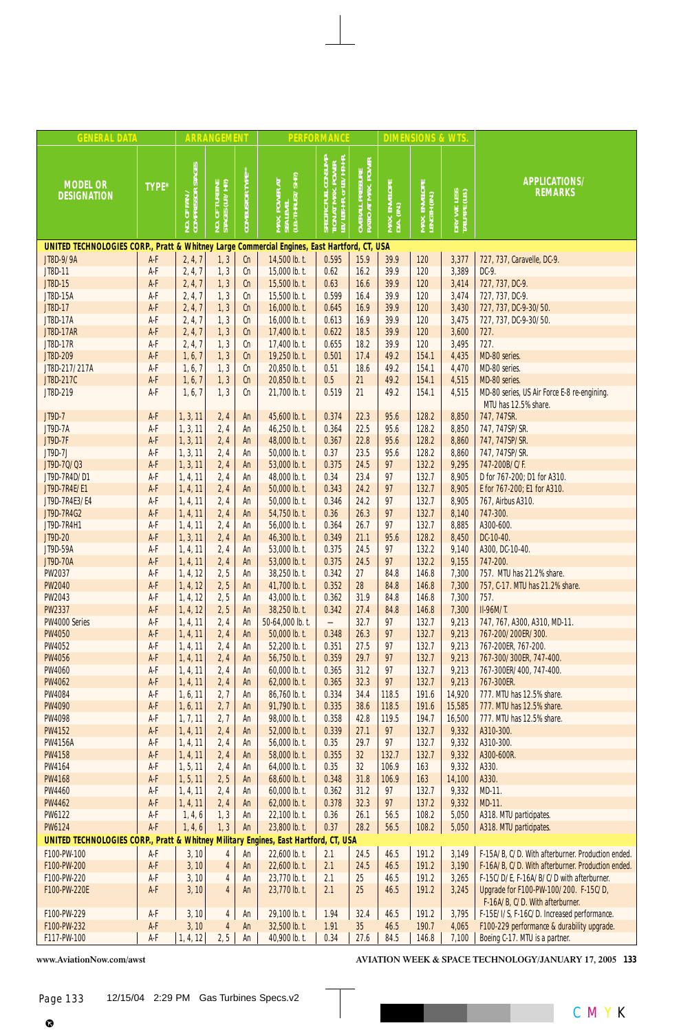| <b>GENERAL DATA</b>                                                                         |                                |                                           | <b>ARRANGEMENT</b>           |                         |                                                 | <b>PERFORMANCE</b>                                                        |                                         |                             | <b>DIMENSIONS &amp; WTS</b>   |                                |                                                                          |
|---------------------------------------------------------------------------------------------|--------------------------------|-------------------------------------------|------------------------------|-------------------------|-------------------------------------------------|---------------------------------------------------------------------------|-----------------------------------------|-----------------------------|-------------------------------|--------------------------------|--------------------------------------------------------------------------|
| <b>MODEL OR</b><br><b>DESIGNATION</b>                                                       | TYPE*                          | of fan /<br>IPRESSOR STAGES <br><b>PO</b> | TURBINE<br>JUP/HP)<br>NO. OF | <b>COMBUSTOR TYPE**</b> | MAX. POWER AT<br>SEA LEVEL<br>(LB.-THRUST/SHP.) | SPECIFIC FUEL CONSUMP-<br>TION AT MAX. POWER<br>LB./LBF-HR. or LB./HP-HR. | OVERALL PRESSURE<br>RATIO AT MAX. POWER | MAX. ENVELOPE<br>DIA. (IN.) | MAX. ENVELOPE<br>LENGTH (IN.) | DRY WT. LESS<br>TAILPIPE (LB.) | APPLICATIONS/<br><b>REMARKS</b>                                          |
| UNITED TECHNOLOGIES CORP., Pratt & Whitney Large Commercial Engines, East Hartford, CT, USA |                                |                                           |                              |                         |                                                 |                                                                           |                                         |                             |                               |                                |                                                                          |
| JT8D-9/9A                                                                                   | $A-F$                          | 2, 4, 7                                   | 1, 3                         | Cn                      | 14,500 lb. t.                                   | 0.595                                                                     | 15.9                                    | 39.9                        | 120                           | 3,377                          | 727, 737, Caravelle, DC-9.                                               |
| JT8D-11                                                                                     | A-F                            | 2, 4, 7                                   | 1, 3                         | Cn                      | 15,000 lb. t.                                   | 0.62                                                                      | 16.2                                    | 39.9                        | 120                           | 3,389                          | DC-9.                                                                    |
| JT8D-15                                                                                     | A-F                            | 2, 4, 7                                   | 1, 3                         | Cn                      | 15,500 lb. t.                                   | 0.63<br>0.599                                                             | 16.6<br>16.4                            | 39.9<br>39.9                | 120<br>120                    | 3,414                          | 727, 737, DC-9.                                                          |
| JT8D-15A<br>JT8D-17                                                                         | A-F<br>A-F                     | 2, 4, 7<br>2, 4, 7                        | 1, 3<br>1, 3                 | Cn<br>cn                | 15,500 lb. t.<br>16,000 lb. t.                  | 0.645                                                                     | 16.9                                    | 39.9                        | 120                           | 3,474<br>3,430                 | 727, 737, DC-9.<br>727, 737, DC-9-30/50.                                 |
| JT8D-17A                                                                                    | A-F                            | 2, 4, 7                                   | 1, 3                         | Cn                      | 16,000 lb. t.                                   | 0.613                                                                     | 16.9                                    | 39.9                        | 120                           | 3,475                          | 727, 737, DC-9-30/50.                                                    |
| <b>JT8D-17AR</b>                                                                            | A-F                            | 2, 4, 7                                   | 1, 3                         | cn                      | 17,400 lb. t.                                   | 0.622                                                                     | 18.5                                    | 39.9                        | 120                           | 3,600                          | 727.                                                                     |
| JT8D-17R                                                                                    | A-F                            | 2, 4, 7                                   | 1, 3                         | Cn                      | 17,400 lb. t.                                   | 0.655                                                                     | 18.2                                    | 39.9                        | 120                           | 3,495                          | 727.                                                                     |
| JT8D-209                                                                                    | A-F                            | 1, 6, 7                                   | 1, 3                         | cn                      | 19,250 lb. t.                                   | 0.501                                                                     | 17.4                                    | 49.2                        | 154.1                         | 4,435                          | MD-80 series.                                                            |
| JT8D-217/217A                                                                               | A-F                            | 1, 6, 7                                   | 1, 3                         | Cn                      | 20,850 lb. t.                                   | 0.51                                                                      | 18.6                                    | 49.2                        | 154.1                         | 4,470                          | MD-80 series.                                                            |
| JT8D-217C                                                                                   | A-F                            | 1, 6, 7                                   | 1, 3                         | Cn                      | 20,850 lb. t.                                   | $0.5\,$                                                                   | 21                                      | 49.2                        | 154.1                         | 4,515                          | MD-80 series.                                                            |
| JT8D-219                                                                                    | A-F                            | 1, 6, 7                                   | 1, 3                         | Cn                      | 21,700 lb. t.                                   | 0.519                                                                     | 21                                      | 49.2                        | 154.1                         | 4,515                          | MD-80 series, US Air Force E-8 re-engining.<br>MTU has 12.5% share.      |
| JT9D-7                                                                                      | $A-F$                          | 1, 3, 11                                  | 2,4                          | An                      | 45,600 lb. t.                                   | 0.374                                                                     | 22.3                                    | 95.6                        | 128.2                         | 8,850                          | 747, 747SR.                                                              |
| JT9D-7A                                                                                     | A-F                            | 1, 3, 11                                  | 2, 4                         | An                      | 46,250 lb. t.                                   | 0.364                                                                     | 22.5                                    | 95.6                        | 128.2                         | 8,850                          | 747, 747SP/SR.                                                           |
| <b>JT9D-7F</b>                                                                              | $A-F$                          | 1, 3, 11                                  | 2,4                          | An                      | 48,000 lb. t.                                   | 0.367                                                                     | 22.8                                    | 95.6                        | 128.2                         | 8,860                          | 747, 747SP/SR.                                                           |
| JT9D-7J<br>JT9D-70/03                                                                       | A-F<br>A-F                     | 1, 3, 11<br>1, 3, 11                      | 2, 4                         | An<br>An                | 50,000 lb. t.<br>53,000 lb. t.                  | 0.37<br>0.375                                                             | 23.5<br>24.5                            | 95.6<br>97                  | 128.2<br>132.2                | 8,860<br>9,295                 | 747, 747SP/SR.<br>747-200B/C/F.                                          |
| JT9D-7R4D/D1                                                                                | A-F                            | 1, 4, 11                                  | 2, 4<br>2, 4                 | An                      | 48,000 lb. t.                                   | 0.34                                                                      | 23.4                                    | 97                          | 132.7                         | 8,905                          | D for 767-200; D1 for A310.                                              |
| JT9D-7R4E/E1                                                                                | $A-F$                          | 1, 4, 11                                  | 2,4                          | An                      | 50,000 lb. t.                                   | 0.343                                                                     | 24.2                                    | 97                          | 132.7                         | 8,905                          | E for 767-200; E1 for A310.                                              |
| JT9D-7R4E3/E4                                                                               | A-F                            | 1, 4, 11                                  | 2, 4                         | An                      | 50,000 lb. t.                                   | 0.346                                                                     | 24.2                                    | 97                          | 132.7                         | 8,905                          | 767, Airbus A310.                                                        |
| JT9D-7R4G2                                                                                  | A-F                            | 1, 4, 11                                  | 2,4                          | An                      | 54,750 lb. t.                                   | 0.36                                                                      | 26.3                                    | 97                          | 132.7                         | 8,140                          | 747-300.                                                                 |
| JT9D-7R4H1                                                                                  | A-F                            | 1, 4, 11                                  | 2,4                          | An                      | 56,000 lb. t.                                   | 0.364                                                                     | 26.7                                    | 97                          | 132.7                         | 8,885                          | A300-600.                                                                |
| JT9D-20                                                                                     | A-F                            | 1, 3, 11                                  | 2, 4                         | An                      | 46,300 lb. t.                                   | 0.349                                                                     | 21.1                                    | 95.6                        | 128.2                         | 8,450                          | DC-10-40.                                                                |
| JT9D-59A                                                                                    | A-F                            | 1, 4, 11                                  | 2,4                          | An                      | 53,000 lb. t.                                   | 0.375                                                                     | 24.5                                    | 97                          | 132.2                         | 9,140                          | A300, DC-10-40.                                                          |
| <b>JT9D-70A</b>                                                                             | A-F                            | 1, 4, 11                                  | 2,4                          | An                      | 53,000 lb. t.                                   | 0.375                                                                     | 24.5                                    | 97                          | 132.2                         | 9,155                          | 747-200.                                                                 |
| PW2037                                                                                      | A-F                            | 1, 4, 12                                  | 2, 5                         | An                      | 38,250 lb. t.                                   | 0.342                                                                     | 27                                      | 84.8                        | 146.8                         | 7,300                          | 757. MTU has 21.2% share.                                                |
| <b>PW2040</b>                                                                               | A-F                            | 1, 4, 12                                  | 2, 5                         | An                      | 41,700 lb. t.                                   | 0.352                                                                     | 28                                      | 84.8                        | 146.8                         | 7,300                          | 757, C-17. MTU has 21.2% share.                                          |
| PW2043                                                                                      | A-F                            | 1, 4, 12                                  | 2, 5                         | An                      | 43,000 lb. t.                                   | 0.362                                                                     | 31.9                                    | 84.8                        | 146.8                         | 7,300                          | 757.                                                                     |
| <b>PW2337</b>                                                                               | $A-F$                          | 1, 4, 12                                  | 2, 5                         | An                      | 38,250 lb. t.                                   | 0.342                                                                     | 27.4                                    | 84.8                        | 146.8                         | 7,300                          | II-96M/T.                                                                |
| PW4000 Series<br><b>PW4050</b>                                                              | A-F<br>A-F                     | 1, 4, 11<br>1, 4, 11                      | 2, 4<br>2,4                  | An<br>An                | 50-64,000 lb. t.<br>50,000 lb. t.               | $\overline{\phantom{0}}$<br>0.348                                         | 32.7<br>26.3                            | 97<br>97                    | 132.7<br>132.7                | 9,213<br>9,213                 | 747, 767, A300, A310, MD-11.<br>767-200/200ER/300.                       |
| <b>PW4052</b>                                                                               | A-F                            | 1, 4, 11                                  | 2, 4                         | An                      | 52,200 lb. t.                                   | 0.351                                                                     | 27.5                                    | 97                          | 132.7                         | 9,213                          | 767-200ER, 767-200.                                                      |
| <b>PW4056</b>                                                                               | A-F                            | 1, 4, 11                                  | 2,4                          | An                      | 56,750 lb. t.                                   | 0.359                                                                     | 29.7                                    | 97                          | 132.7                         | 9,213                          | 767-300/300ER, 747-400.                                                  |
| <b>PW4060</b>                                                                               | A-F                            | 1, 4, 11                                  | 2, 4                         | An                      | 60,000 lb. t.                                   | 0.365                                                                     | 31.2                                    | 97                          | 132.7                         | 9,213                          | 767-300ER/400, 747-400.                                                  |
| <b>PW4062</b>                                                                               | $A-F$                          | 1, 4, 11                                  | 2,4                          | An                      | 62,000 lb. t.                                   | 0.365                                                                     | 32.3                                    | 97                          | 132.7                         | 9,213                          | 767-300ER.                                                               |
| <b>PW4084</b>                                                                               | A-F                            | 1, 6, 11                                  | 2,7                          | An                      | 86,760 lb. t.                                   | 0.334                                                                     | 34.4                                    | 118.5                       | 191.6                         | 14,920                         | 777. MTU has 12.5% share.                                                |
| <b>PW4090</b>                                                                               | $A-F$                          | 1, 6, 11                                  | 2,7                          | An                      | 91,790 lb. t.                                   | 0.335                                                                     | 38.6                                    | 118.5                       | 191.6                         | 15,585                         | 777. MTU has 12.5% share.                                                |
| PW4098                                                                                      | A-F                            | 1, 7, 11                                  | 2,7                          | An                      | 98,000 lb. t.                                   | 0.358                                                                     | 42.8                                    | 119.5                       | 194.7                         | 16,500                         | 777. MTU has 12.5% share.                                                |
| <b>PW4152</b>                                                                               | $A-F$                          | 1, 4, 11                                  | 2, 4                         | An                      | 52,000 lb. t.                                   | 0.339                                                                     | 27.1                                    | 97                          | 132.7                         | 9,332                          | A310-300.                                                                |
| <b>PW4156A</b>                                                                              | A-F                            | 1, 4, 11                                  | 2, 4                         | An                      | 56,000 lb. t.                                   | 0.35                                                                      | 29.7                                    | 97                          | 132.7                         | 9,332                          | A310-300.                                                                |
| <b>PW4158</b>                                                                               | A-F                            | 1, 4, 11                                  | 2,4                          | An                      | 58,000 lb. t.                                   | 0.355                                                                     | 32                                      | 132.7                       | 132.7                         | 9,332                          | A300-600R.                                                               |
| PW4164                                                                                      | A-F                            | 1, 5, 11                                  | 2, 4                         | An                      | 64,000 lb. t.                                   | 0.35                                                                      | 32<br>31.8                              | 106.9                       | 163                           | 9,332                          | A330.                                                                    |
| <b>PW4168</b><br><b>PW4460</b>                                                              | $A-F$<br>A-F                   | 1, 5, 11<br>1, 4, 11                      | 2, 5                         | An                      | 68,600 lb. t.<br>60,000 lb. t.                  | 0.348<br>0.362                                                            | 31.2                                    | 106.9<br>97                 | 163<br>132.7                  | 14,100<br>9,332                | A330.<br>MD-11.                                                          |
| <b>PW4462</b>                                                                               | A-F                            | 1, 4, 11                                  | 2, 4<br>2, 4                 | An<br>An                | 62,000 lb. t.                                   | 0.378                                                                     | 32.3                                    | 97                          | 137.2                         | 9,332                          | MD-11.                                                                   |
| <b>PW6122</b>                                                                               | A-F                            | 1, 4, 6                                   | 1, 3                         | An                      | 22,100 lb. t.                                   | 0.36                                                                      | 26.1                                    | 56.5                        | 108.2                         | 5,050                          | A318. MTU participates.                                                  |
| <b>PW6124</b>                                                                               | $A-F$                          | 1, 4, 6                                   | 1, 3                         | An                      | 23,800 lb. t.                                   | 0.37                                                                      | 28.2                                    | 56.5                        | 108.2                         | 5,050                          | A318. MTU participates.                                                  |
| UNITED TECHNOLOGIES CORP., Pratt & Whitney Military Engines, East Hartford, CT, USA         |                                |                                           |                              |                         |                                                 |                                                                           |                                         |                             |                               |                                |                                                                          |
| F100-PW-100                                                                                 | A-F                            | 3, 10                                     | $\overline{4}$               | An                      | 22,600 lb. t.                                   | 2.1                                                                       | 24.5                                    | 46.5                        | 191.2                         | 3,149                          | F-15A/B, C/D. With afterburner. Production ended.                        |
| F100-PW-200                                                                                 | $A-F$                          | 3, 10                                     | $\overline{\mathbf{4}}$      | An                      | 22,600 lb. t.                                   | 2.1                                                                       | 24.5                                    | 46.5                        | 191.2                         | 3,190                          | F-16A/B, C/D. With afterburner. Production ended.                        |
| F100-PW-220                                                                                 | A-F                            | 3, 10                                     | 4                            | An                      | 23,770 lb. t.                                   | 2.1                                                                       | 25                                      | 46.5                        | 191.2                         | 3,265                          | F-15C/D/E, F-16A/B/C/D with afterburner.                                 |
| F100-PW-220E                                                                                | A-F                            | 3, 10                                     | $\overline{4}$               | An                      | 23,770 lb. t.                                   | 2.1                                                                       | 25                                      | 46.5                        | 191.2                         | 3,245                          | Upgrade for F100-PW-100/200. F-15C/D,<br>F-16A/B, C/D. With afterburner. |
| F100-PW-229                                                                                 | $A-F$                          | 3, 10                                     | 4                            | An                      | 29,100 lb. t.                                   | 1.94                                                                      | 32.4                                    | 46.5                        | 191.2                         | 3,795                          | F-15E/I/S, F-16C/D. Increased performance.                               |
| F100-PW-232                                                                                 | A-F                            | 3, 10                                     | 4                            | An                      | 32,500 lb. t.                                   | 1.91                                                                      | 35                                      | 46.5                        | 190.7                         | 4,065                          | F100-229 performance & durability upgrade.                               |
| F117-PW-100                                                                                 | $\mathsf{A}\text{-}\mathsf{F}$ | 1, 4, 12                                  | 2, 5                         | An                      | 40,900 lb. t.                                   | 0.34                                                                      | 27.6                                    | 84.5                        | 146.8                         | 7,100                          | Boeing C-17. MTU is a partner.                                           |